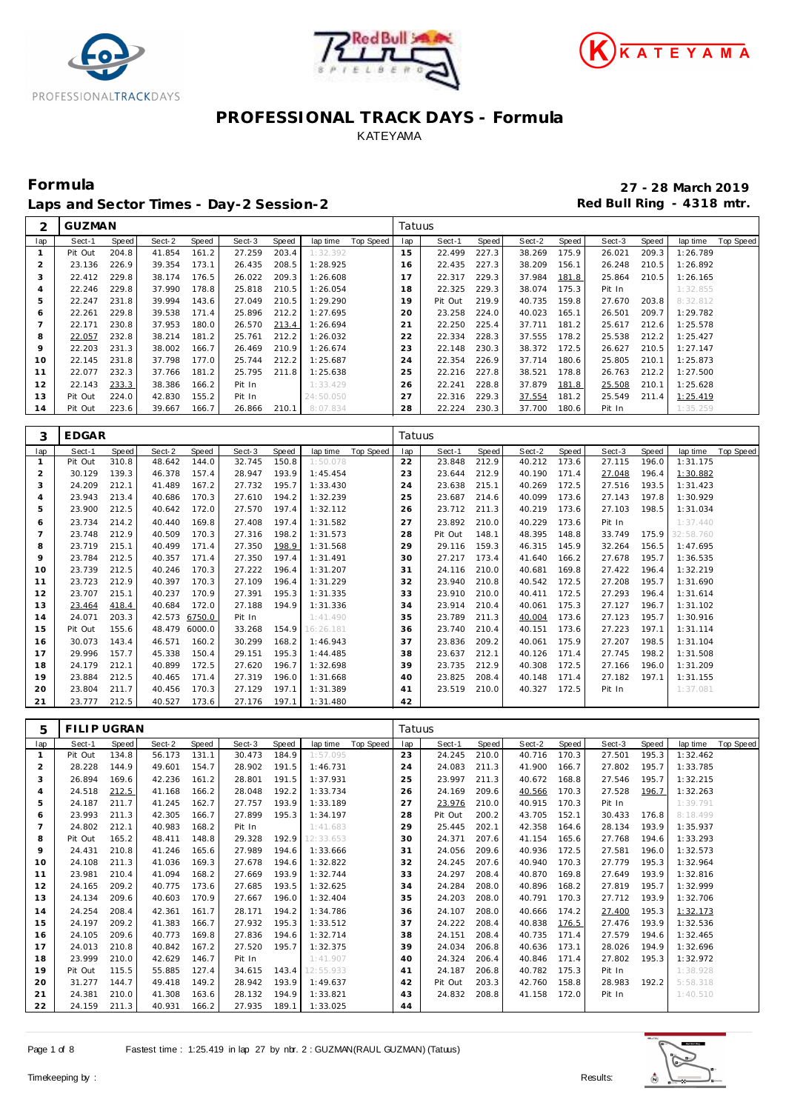





Laps and Sector Times - Day-2 Session-2 **Accord Accord Payable 2** Red Bull Ring - 4318 mtr.

**Formula 27 - 28 March 2019**

| ⌒              | <b>GUZMAN</b> |       |        |       |        |       |           |           | Tatuus |         |       |        |       |        |              |          |           |
|----------------|---------------|-------|--------|-------|--------|-------|-----------|-----------|--------|---------|-------|--------|-------|--------|--------------|----------|-----------|
| lap            | Sect-1        | Speed | Sect-2 | Speed | Sect-3 | Speed | lap time  | Top Speed | lap    | Sect-1  | Speed | Sect-2 | Speed | Sect-3 | <b>Speed</b> | lap time | Top Speed |
|                | Pit Out       | 204.8 | 41.854 | 161.2 | 27.259 | 203.4 | 1:32.392  |           | 15     | 22.499  | 227.3 | 38.269 | 175.9 | 26.021 | 209.3        | 1:26.789 |           |
| $\overline{2}$ | 23.136        | 226.9 | 39.354 | 173.1 | 26.435 | 208.5 | 1:28.925  |           | 16     | 22.435  | 227.3 | 38.209 | 156.1 | 26.248 | 210.5        | 1:26.892 |           |
| 3              | 22.412        | 229.8 | 38.174 | 176.5 | 26.022 | 209.3 | 1:26.608  |           | 17     | 22.317  | 229.3 | 37.984 | 181.8 | 25.864 | 210.5        | 1:26.165 |           |
| 4              | 22.246        | 229.8 | 37.990 | 178.8 | 25.818 | 210.5 | 1:26.054  |           | 18     | 22.325  | 229.3 | 38.074 | 175.3 | Pit In |              | 1:32.855 |           |
| 5              | 22.247        | 231.8 | 39.994 | 143.6 | 27.049 | 210.5 | 1:29.290  |           | 19     | Pit Out | 219.9 | 40.735 | 159.8 | 27.670 | 203.8        | 8:32.812 |           |
| 6              | 22.261        | 229.8 | 39.538 | 171.4 | 25.896 | 212.2 | 1:27.695  |           | 20     | 23.258  | 224.0 | 40.023 | 165.1 | 26.501 | 209.7        | 1:29.782 |           |
|                | 22.171        | 230.8 | 37.953 | 180.0 | 26.570 | 213.4 | 1:26.694  |           | 21     | 22.250  | 225.4 | 37.711 | 181.2 | 25.617 | 212.6        | 1:25.578 |           |
| 8              | 22.057        | 232.8 | 38.214 | 181.2 | 25.761 | 212.2 | 1:26.032  |           | 22     | 22.334  | 228.3 | 37.555 | 178.2 | 25.538 | 212.2        | 1:25.427 |           |
| 9              | 22.203        | 231.3 | 38.002 | 166.7 | 26.469 | 210.9 | 1:26.674  |           | 23     | 22.148  | 230.3 | 38.372 | 172.5 | 26.627 | 210.5        | 1:27.147 |           |
| 10             | 22.145        | 231.8 | 37.798 | 177.0 | 25.744 | 212.2 | 1:25.687  |           | 24     | 22.354  | 226.9 | 37.714 | 180.6 | 25.805 | 210.1        | 1:25.873 |           |
| 11             | 22.077        | 232.3 | 37.766 | 181.2 | 25.795 | 211.8 | 1:25.638  |           | 25     | 22.216  | 227.8 | 38.521 | 178.8 | 26.763 | 212.2        | 1:27.500 |           |
| 12             | 22.143        | 233.3 | 38.386 | 166.2 | Pit In |       | 1:33.429  |           | 26     | 22.241  | 228.8 | 37.879 | 181.8 | 25.508 | 210.1        | 1:25.628 |           |
| 13             | Pit Out       | 224.0 | 42.830 | 155.2 | Pit In |       | 24:50.050 |           | 27     | 22.316  | 229.3 | 37.554 | 181.2 | 25.549 | 211.4        | 1:25.419 |           |
| 14             | Pit Out       | 223.6 | 39.667 | 166.7 | 26.866 | 210.1 | 8:07.834  |           | 28     | 22.224  | 230.3 | 37.700 | 180.6 | Pit In |              | 1:35.259 |           |

| 3              | <b>EDGAR</b> |       |               |        |        |       |           |           | Tatuus |         |       |        |       |        |       |                 |           |
|----------------|--------------|-------|---------------|--------|--------|-------|-----------|-----------|--------|---------|-------|--------|-------|--------|-------|-----------------|-----------|
| lap            | Sect-1       | Speed | Sect-2        | Speed  | Sect-3 | Speed | lap time  | Top Speed | lap    | Sect-1  | Speed | Sect-2 | Speed | Sect-3 | Speed | lap time        | Top Speed |
| $\mathbf{1}$   | Pit Out      | 310.8 | 48.642        | 144.0  | 32.745 | 150.8 | 1:50.078  |           | 22     | 23.848  | 212.9 | 40.212 | 173.6 | 27.115 | 196.0 | 1:31.175        |           |
| $\overline{2}$ | 30.129       | 139.3 | 46.378        | 157.4  | 28.947 | 193.9 | 1:45.454  |           | 23     | 23.644  | 212.9 | 40.190 | 171.4 | 27.048 | 196.4 | 1:30.882        |           |
| 3              | 24.209       | 212.1 | 41.489        | 167.2  | 27.732 | 195.7 | 1:33.430  |           | 24     | 23.638  | 215.1 | 40.269 | 172.5 | 27.516 | 193.5 | 1:31.423        |           |
| $\overline{4}$ | 23.943       | 213.4 | 40.686        | 170.3  | 27.610 | 194.2 | 1:32.239  |           | 25     | 23.687  | 214.6 | 40.099 | 173.6 | 27.143 | 197.8 | 1:30.929        |           |
| 5              | 23.900       | 212.5 | 40.642        | 172.0  | 27.570 | 197.4 | 1:32.112  |           | 26     | 23.712  | 211.3 | 40.219 | 173.6 | 27.103 | 198.5 | 1:31.034        |           |
| 6              | 23.734       | 214.2 | 40.440        | 169.8  | 27.408 | 197.4 | 1:31.582  |           | 27     | 23.892  | 210.0 | 40.229 | 173.6 | Pit In |       | 1:37.440        |           |
| $\overline{7}$ | 23.748       | 212.9 | 40.509        | 170.3  | 27.316 | 198.2 | 1:31.573  |           | 28     | Pit Out | 148.1 | 48.395 | 148.8 | 33.749 |       | 175.9 32:58.760 |           |
| 8              | 23.719       | 215.1 | 40.499        | 171.4  | 27.350 | 198.9 | 1:31.568  |           | 29     | 29.116  | 159.3 | 46.315 | 145.9 | 32.264 | 156.5 | 1:47.695        |           |
| 9              | 23.784       | 212.5 | 40.357        | 171.4  | 27.350 | 197.4 | 1:31.491  |           | 30     | 27.217  | 173.4 | 41.640 | 166.2 | 27.678 | 195.7 | 1:36.535        |           |
| 10             | 23.739       | 212.5 | 40.246        | 170.3  | 27.222 | 196.4 | 1:31.207  |           | 31     | 24.116  | 210.0 | 40.681 | 169.8 | 27.422 | 196.4 | 1:32.219        |           |
| 11             | 23.723       | 212.9 | 40.397        | 170.3  | 27.109 | 196.4 | 1:31.229  |           | 32     | 23.940  | 210.8 | 40.542 | 172.5 | 27.208 | 195.7 | 1:31.690        |           |
| 12             | 23.707       | 215.1 | 40.237        | 170.9  | 27.391 | 195.3 | 1:31.335  |           | 33     | 23.910  | 210.0 | 40.411 | 172.5 | 27.293 | 196.4 | 1:31.614        |           |
| 13             | 23.464       | 418.4 | 40.684        | 172.0  | 27.188 | 194.9 | 1:31.336  |           | 34     | 23.914  | 210.4 | 40.061 | 175.3 | 27.127 | 196.7 | 1:31.102        |           |
| 14             | 24.071       | 203.3 | 42.573 6750.0 |        | Pit In |       | 1:41.490  |           | 35     | 23.789  | 211.3 | 40.004 | 173.6 | 27.123 | 195.7 | 1:30.916        |           |
| 15             | Pit Out      | 155.6 | 48.479        | 6000.0 | 33.268 | 154.9 | 16:26.181 |           | 36     | 23.740  | 210.4 | 40.151 | 173.6 | 27.223 | 197.1 | 1:31.114        |           |
| 16             | 30.073       | 143.4 | 46.571        | 160.2  | 30.299 | 168.2 | 1:46.943  |           | 37     | 23.836  | 209.2 | 40.061 | 175.9 | 27.207 | 198.5 | 1:31.104        |           |
| 17             | 29.996       | 157.7 | 45.338        | 150.4  | 29.151 | 195.3 | 1:44.485  |           | 38     | 23.637  | 212.1 | 40.126 | 171.4 | 27.745 | 198.2 | 1:31.508        |           |
| 18             | 24.179       | 212.1 | 40.899        | 172.5  | 27.620 | 196.7 | 1:32.698  |           | 39     | 23.735  | 212.9 | 40.308 | 172.5 | 27.166 | 196.0 | 1:31.209        |           |
| 19             | 23.884       | 212.5 | 40.465        | 171.4  | 27.319 | 196.0 | 1:31.668  |           | 40     | 23.825  | 208.4 | 40.148 | 171.4 | 27.182 | 197.1 | 1:31.155        |           |
| 20             | 23.804       | 211.7 | 40.456        | 170.3  | 27.129 | 197.1 | 1:31.389  |           | 41     | 23.519  | 210.0 | 40.327 | 172.5 | Pit In |       | 1:37.081        |           |
| 21             | 23.777       | 212.5 | 40.527        | 173.6  | 27.176 | 197.1 | 1:31.480  |           | 42     |         |       |        |       |        |       |                 |           |

| 5              | FILIP UGRAN |       |        |       |        |       |           |           | Tatuus |         |       |        |       |        |       |          |           |
|----------------|-------------|-------|--------|-------|--------|-------|-----------|-----------|--------|---------|-------|--------|-------|--------|-------|----------|-----------|
| lap            | Sect-1      | Speed | Sect-2 | Speed | Sect-3 | Speed | lap time  | Top Speed | lap    | Sect-1  | Speed | Sect-2 | Speed | Sect-3 | Speed | lap time | Top Speed |
| -1             | Pit Out     | 134.8 | 56.173 | 131.1 | 30.473 | 184.9 | 1:57.095  |           | 23     | 24.245  | 210.0 | 40.716 | 170.3 | 27.501 | 195.3 | 1:32.462 |           |
| 2              | 28.228      | 144.9 | 49.601 | 154.7 | 28.902 | 191.5 | 1:46.731  |           | 24     | 24.083  | 211.3 | 41.900 | 166.7 | 27.802 | 195.7 | 1:33.785 |           |
| 3              | 26.894      | 169.6 | 42.236 | 161.2 | 28.801 | 191.5 | 1:37.931  |           | 25     | 23.997  | 211.3 | 40.672 | 168.8 | 27.546 | 195.7 | 1:32.215 |           |
| 4              | 24.518      | 212.5 | 41.168 | 166.2 | 28.048 | 192.2 | 1:33.734  |           | 26     | 24.169  | 209.6 | 40.566 | 170.3 | 27.528 | 196.7 | 1:32.263 |           |
| 5              | 24.187      | 211.7 | 41.245 | 162.7 | 27.757 | 193.9 | 1:33.189  |           | 27     | 23.976  | 210.0 | 40.915 | 170.3 | Pit In |       | 1:39.791 |           |
| 6              | 23.993      | 211.3 | 42.305 | 166.7 | 27.899 | 195.3 | 1:34.197  |           | 28     | Pit Out | 200.2 | 43.705 | 152.1 | 30.433 | 176.8 | 8:18.499 |           |
| $\overline{7}$ | 24.802      | 212.1 | 40.983 | 168.2 | Pit In |       | 1:41.683  |           | 29     | 25.445  | 202.1 | 42.358 | 164.6 | 28.134 | 193.9 | 1:35.937 |           |
| 8              | Pit Out     | 165.2 | 48.411 | 148.8 | 29.328 | 192.9 | 12:33.653 |           | 30     | 24.371  | 207.6 | 41.154 | 165.6 | 27.768 | 194.6 | 1:33.293 |           |
| 9              | 24.431      | 210.8 | 41.246 | 165.6 | 27.989 | 194.6 | 1:33.666  |           | 31     | 24.056  | 209.6 | 40.936 | 172.5 | 27.581 | 196.0 | 1:32.573 |           |
| 10             | 24.108      | 211.3 | 41.036 | 169.3 | 27.678 | 194.6 | 1:32.822  |           | 32     | 24.245  | 207.6 | 40.940 | 170.3 | 27.779 | 195.3 | 1:32.964 |           |
| 11             | 23.981      | 210.4 | 41.094 | 168.2 | 27.669 | 193.9 | 1:32.744  |           | 33     | 24.297  | 208.4 | 40.870 | 169.8 | 27.649 | 193.9 | 1:32.816 |           |
| 12             | 24.165      | 209.2 | 40.775 | 173.6 | 27.685 | 193.5 | 1:32.625  |           | 34     | 24.284  | 208.0 | 40.896 | 168.2 | 27.819 | 195.7 | 1:32.999 |           |
| 13             | 24.134      | 209.6 | 40.603 | 170.9 | 27.667 | 196.0 | 1:32.404  |           | 35     | 24.203  | 208.0 | 40.791 | 170.3 | 27.712 | 193.9 | 1:32.706 |           |
| 14             | 24.254      | 208.4 | 42.361 | 161.7 | 28.171 | 194.2 | 1:34.786  |           | 36     | 24.107  | 208.0 | 40.666 | 174.2 | 27.400 | 195.3 | 1:32.173 |           |
| 15             | 24.197      | 209.2 | 41.383 | 166.7 | 27.932 | 195.3 | 1:33.512  |           | 37     | 24.222  | 208.4 | 40.838 | 176.5 | 27.476 | 193.9 | 1:32.536 |           |
| 16             | 24.105      | 209.6 | 40.773 | 169.8 | 27.836 | 194.6 | 1:32.714  |           | 38     | 24.151  | 208.4 | 40.735 | 171.4 | 27.579 | 194.6 | 1:32.465 |           |
| 17             | 24.013      | 210.8 | 40.842 | 167.2 | 27.520 | 195.7 | 1:32.375  |           | 39     | 24.034  | 206.8 | 40.636 | 173.1 | 28.026 | 194.9 | 1:32.696 |           |
| 18             | 23.999      | 210.0 | 42.629 | 146.7 | Pit In |       | 1:41.907  |           | 40     | 24.324  | 206.4 | 40.846 | 171.4 | 27.802 | 195.3 | 1:32.972 |           |
| 19             | Pit Out     | 115.5 | 55.885 | 127.4 | 34.615 | 143.4 | 12:55.933 |           | 41     | 24.187  | 206.8 | 40.782 | 175.3 | Pit In |       | 1:38.928 |           |
| 20             | 31.277      | 144.7 | 49.418 | 149.2 | 28.942 | 193.9 | 1:49.637  |           | 42     | Pit Out | 203.3 | 42.760 | 158.8 | 28.983 | 192.2 | 5:58.318 |           |
| 21             | 24.381      | 210.0 | 41.308 | 163.6 | 28.132 | 194.9 | 1:33.821  |           | 43     | 24.832  | 208.8 | 41.158 | 172.0 | Pit In |       | 1:40.510 |           |
| 22             | 24.159      | 211.3 | 40.931 | 166.2 | 27.935 | 189.1 | 1:33.025  |           | 44     |         |       |        |       |        |       |          |           |

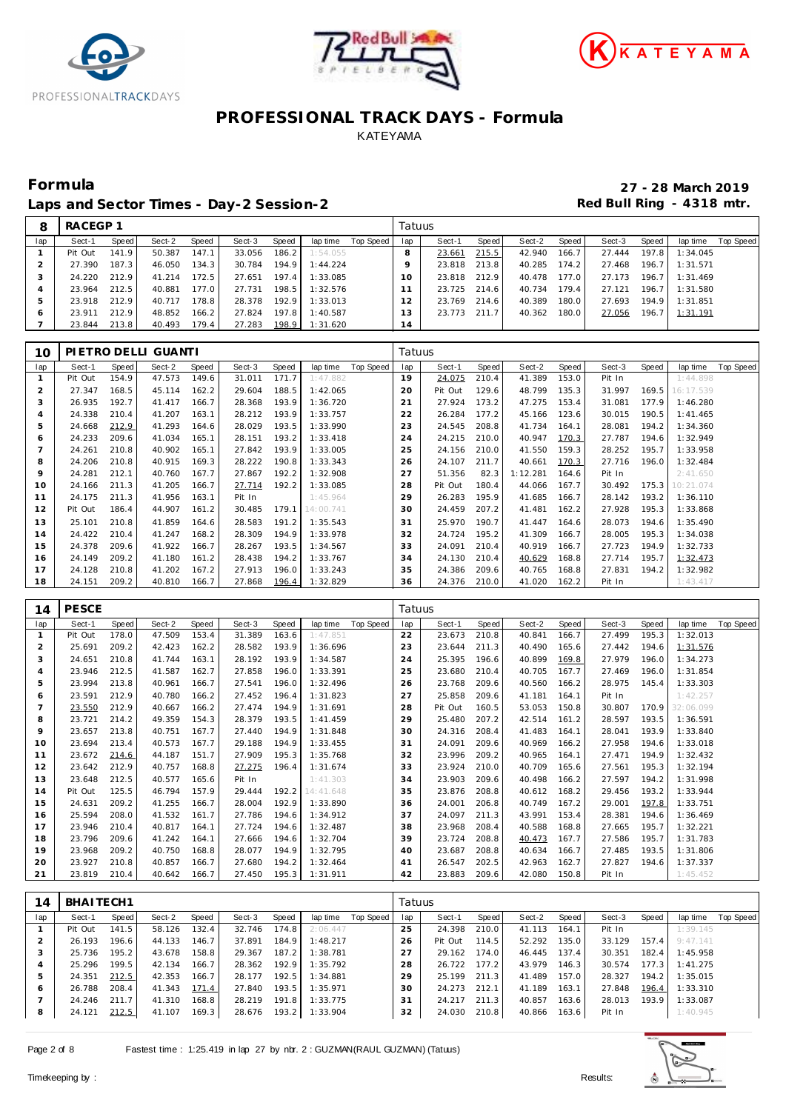





Laps and Sector Times - Day-2 Session-2 **Accord Accord Payable 2** Red Bull Ring - 4318 mtr.

**Formula 27 - 28 March 2019**

|     | RACEGP 1 |       |        |       |        |       |          |           | Tatuus |        |       |        |       |        |       |          |           |
|-----|----------|-------|--------|-------|--------|-------|----------|-----------|--------|--------|-------|--------|-------|--------|-------|----------|-----------|
| lap | Sect-1   | Speed | Sect-2 | Speed | Sect-3 | Speed | lap time | Top Speed | lap    | Sect-1 | Speed | Sect-2 | Speed | Sect-3 | Speed | lap time | Top Speed |
|     | Pit Out  | 141.9 | 50.387 | 147.1 | 33.056 | 186.2 | 1:54.055 |           |        | 23.661 | 215.5 | 42.940 | 166.7 | 27.444 | 197.8 | 1:34.045 |           |
|     | 27.390   | 187.3 | 46.050 | 134.3 | 30.784 | 194.9 | 1:44.224 |           |        | 23.818 | 213.8 | 40.285 | 174.2 | 27.468 | 196.7 | 1:31.571 |           |
|     | 24.220   | 212.9 | 41.214 | 172.5 | 27.651 | 197.4 | 1:33.085 |           | 10     | 23.818 | 212.9 | 40.478 | 177.0 | 27.173 | 196.7 | 1:31.469 |           |
|     | 23.964   | 212.5 | 40.881 | 177.0 | 27.731 | 198.5 | 1:32.576 |           |        | 23.725 | 214.6 | 40.734 | 179.4 | 27.121 | 196.7 | 1:31.580 |           |
|     | 23.918   | 212.9 | 40.717 | 178.8 | 28.378 | 192.9 | 1:33.013 |           | 2      | 23.769 | 214.6 | 40.389 | 180.0 | 27.693 | 194.9 | 1:31.851 |           |
| c   | 23.911   | 212.9 | 48.852 | 166.2 | 27.824 | 197.8 | 1:40.587 |           | 3      | 23.773 | 211.7 | 40.362 | 180.0 | 27.056 | 196.7 | 1:31.191 |           |
|     | 23.844   | 213.8 | 40.493 | 179.4 | 27.283 | 198.9 | 1:31.620 |           | 14     |        |       |        |       |        |       |          |           |

| 10             |         |       | PIETRO DELLI GUANTI |       |        |       |           |           | Tatuus |         |       |          |       |        |       |           |           |
|----------------|---------|-------|---------------------|-------|--------|-------|-----------|-----------|--------|---------|-------|----------|-------|--------|-------|-----------|-----------|
| lap            | Sect-1  | Speed | Sect-2              | Speed | Sect-3 | Speed | lap time  | Top Speed | lap    | Sect-1  | Speed | Sect-2   | Speed | Sect-3 | Speed | lap time  | Top Speed |
|                | Pit Out | 154.9 | 47.573              | 149.6 | 31.011 | 171.7 | 1:47.882  |           | 19     | 24.075  | 210.4 | 41.389   | 153.0 | Pit In |       | 1:44.898  |           |
| $\overline{2}$ | 27.347  | 168.5 | 45.114              | 162.2 | 29.604 | 188.5 | 1:42.065  |           | 20     | Pit Out | 129.6 | 48.799   | 135.3 | 31.997 | 169.5 | 16:17.539 |           |
| 3              | 26.935  | 192.7 | 41.417              | 166.7 | 28.368 | 193.9 | 1:36.720  |           | 21     | 27.924  | 173.2 | 47.275   | 153.4 | 31.081 | 177.9 | 1:46.280  |           |
| 4              | 24.338  | 210.4 | 41.207              | 163.1 | 28.212 | 193.9 | 1:33.757  |           | 22     | 26.284  | 177.2 | 45.166   | 123.6 | 30.015 | 190.5 | 1:41.465  |           |
| 5              | 24.668  | 212.9 | 41.293              | 164.6 | 28.029 | 193.5 | 1:33.990  |           | 23     | 24.545  | 208.8 | 41.734   | 164.1 | 28.081 | 194.2 | 1:34.360  |           |
| 6              | 24.233  | 209.6 | 41.034              | 165.1 | 28.151 | 193.2 | 1:33.418  |           | 24     | 24.215  | 210.0 | 40.947   | 170.3 | 27.787 | 194.6 | 1:32.949  |           |
|                | 24.261  | 210.8 | 40.902              | 165.1 | 27.842 | 193.9 | 1:33.005  |           | 25     | 24.156  | 210.0 | 41.550   | 159.3 | 28.252 | 195.7 | 1:33.958  |           |
| 8              | 24.206  | 210.8 | 40.915              | 169.3 | 28.222 | 190.8 | 1:33.343  |           | 26     | 24.107  | 211.7 | 40.661   | 170.3 | 27.716 | 196.0 | 1:32.484  |           |
| 9              | 24.281  | 212.1 | 40.760              | 167.7 | 27.867 | 192.2 | 1:32.908  |           | 27     | 51.356  | 82.3  | 1:12.281 | 164.6 | Pit In |       | 2:41.650  |           |
| 10             | 24.166  | 211.3 | 41.205              | 166.7 | 27.714 | 192.2 | 1:33.085  |           | 28     | Pit Out | 180.4 | 44.066   | 167.7 | 30.492 | 175.3 | 10:21.074 |           |
| 11             | 24.175  | 211.3 | 41.956              | 163.1 | Pit In |       | 1:45.964  |           | 29     | 26.283  | 195.9 | 41.685   | 166.7 | 28.142 | 193.2 | 1:36.110  |           |
| 12             | Pit Out | 186.4 | 44.907              | 161.2 | 30.485 | 179.1 | 14:00.741 |           | 30     | 24.459  | 207.2 | 41.481   | 162.2 | 27.928 | 195.3 | 1:33.868  |           |
| 13             | 25.101  | 210.8 | 41.859              | 164.6 | 28.583 | 191.2 | 1:35.543  |           | 31     | 25.970  | 190.7 | 41.447   | 164.6 | 28.073 | 194.6 | 1:35.490  |           |
| 14             | 24.422  | 210.4 | 41.247              | 168.2 | 28.309 | 194.9 | 1:33.978  |           | 32     | 24.724  | 195.2 | 41.309   | 166.7 | 28.005 | 195.3 | 1:34.038  |           |
| 15             | 24.378  | 209.6 | 41.922              | 166.7 | 28.267 | 193.5 | 1:34.567  |           | 33     | 24.091  | 210.4 | 40.919   | 166.7 | 27.723 | 194.9 | 1:32.733  |           |
| 16             | 24.149  | 209.2 | 41.180              | 161.2 | 28.438 | 194.2 | 1:33.767  |           | 34     | 24.130  | 210.4 | 40.629   | 168.8 | 27.714 | 195.7 | 1:32.473  |           |
| 17             | 24.128  | 210.8 | 41.202              | 167.2 | 27.913 | 196.0 | 1:33.243  |           | 35     | 24.386  | 209.6 | 40.765   | 168.8 | 27.831 | 194.2 | 1:32.982  |           |
| 18             | 24.151  | 209.2 | 40.810              | 166.7 | 27.868 | 196.4 | 1:32.829  |           | 36     | 24.376  | 210.0 | 41.020   | 162.2 | Pit In |       | 1:43.417  |           |

| 14             | <b>PESCE</b> |       |        |       |        |       |           |           | Tatuus |         |       |        |       |        |       |           |           |
|----------------|--------------|-------|--------|-------|--------|-------|-----------|-----------|--------|---------|-------|--------|-------|--------|-------|-----------|-----------|
| lap            | Sect-1       | Speed | Sect-2 | Speed | Sect-3 | Speed | lap time  | Top Speed | lap    | Sect-1  | Speed | Sect-2 | Speed | Sect-3 | Speed | lap time  | Top Speed |
|                | Pit Out      | 178.0 | 47.509 | 153.4 | 31.389 | 163.6 | 1:47.851  |           | 22     | 23.673  | 210.8 | 40.841 | 166.7 | 27.499 | 195.3 | 1:32.013  |           |
| $\overline{2}$ | 25.691       | 209.2 | 42.423 | 162.2 | 28.582 | 193.9 | 1:36.696  |           | 23     | 23.644  | 211.3 | 40.490 | 165.6 | 27.442 | 194.6 | 1:31.576  |           |
| 3              | 24.651       | 210.8 | 41.744 | 163.1 | 28.192 | 193.9 | 1:34.587  |           | 24     | 25.395  | 196.6 | 40.899 | 169.8 | 27.979 | 196.0 | 1:34.273  |           |
| $\overline{4}$ | 23.946       | 212.5 | 41.587 | 162.7 | 27.858 | 196.0 | 1:33.391  |           | 25     | 23.680  | 210.4 | 40.705 | 167.7 | 27.469 | 196.0 | 1:31.854  |           |
| 5              | 23.994       | 213.8 | 40.961 | 166.7 | 27.541 | 196.0 | 1:32.496  |           | 26     | 23.768  | 209.6 | 40.560 | 166.2 | 28.975 | 145.4 | 1:33.303  |           |
| 6              | 23.591       | 212.9 | 40.780 | 166.2 | 27.452 | 196.4 | 1:31.823  |           | 27     | 25.858  | 209.6 | 41.181 | 164.1 | Pit In |       | 1:42.257  |           |
| 7              | 23.550       | 212.9 | 40.667 | 166.2 | 27.474 | 194.9 | 1:31.691  |           | 28     | Pit Out | 160.5 | 53.053 | 150.8 | 30.807 | 170.9 | 32:06.099 |           |
| 8              | 23.721       | 214.2 | 49.359 | 154.3 | 28.379 | 193.5 | 1:41.459  |           | 29     | 25.480  | 207.2 | 42.514 | 161.2 | 28.597 | 193.5 | 1:36.591  |           |
| 9              | 23.657       | 213.8 | 40.751 | 167.7 | 27.440 | 194.9 | 1:31.848  |           | 30     | 24.316  | 208.4 | 41.483 | 164.1 | 28.041 | 193.9 | 1:33.840  |           |
| 10             | 23.694       | 213.4 | 40.573 | 167.7 | 29.188 | 194.9 | 1:33.455  |           | 31     | 24.091  | 209.6 | 40.969 | 166.2 | 27.958 | 194.6 | 1:33.018  |           |
| 11             | 23.672       | 214.6 | 44.187 | 151.7 | 27.909 | 195.3 | 1:35.768  |           | 32     | 23.996  | 209.2 | 40.965 | 164.1 | 27.471 | 194.9 | 1:32.432  |           |
| 12             | 23.642       | 212.9 | 40.757 | 168.8 | 27.275 | 196.4 | 1:31.674  |           | 33     | 23.924  | 210.0 | 40.709 | 165.6 | 27.561 | 195.3 | 1:32.194  |           |
| 13             | 23.648       | 212.5 | 40.577 | 165.6 | Pit In |       | 1:41.303  |           | 34     | 23.903  | 209.6 | 40.498 | 166.2 | 27.597 | 194.2 | 1:31.998  |           |
| 14             | Pit Out      | 125.5 | 46.794 | 157.9 | 29.444 | 192.2 | 14:41.648 |           | 35     | 23.876  | 208.8 | 40.612 | 168.2 | 29.456 | 193.2 | 1:33.944  |           |
| 15             | 24.631       | 209.2 | 41.255 | 166.7 | 28.004 | 192.9 | 1:33.890  |           | 36     | 24.001  | 206.8 | 40.749 | 167.2 | 29.001 | 197.8 | 1:33.751  |           |
| 16             | 25.594       | 208.0 | 41.532 | 161.7 | 27.786 | 194.6 | 1:34.912  |           | 37     | 24.097  | 211.3 | 43.991 | 153.4 | 28.381 | 194.6 | 1:36.469  |           |
| 17             | 23.946       | 210.4 | 40.817 | 164.1 | 27.724 | 194.6 | 1:32.487  |           | 38     | 23.968  | 208.4 | 40.588 | 168.8 | 27.665 | 195.7 | 1:32.221  |           |
| 18             | 23.796       | 209.6 | 41.242 | 164.1 | 27.666 | 194.6 | 1:32.704  |           | 39     | 23.724  | 208.8 | 40.473 | 167.7 | 27.586 | 195.7 | 1:31.783  |           |
| 19             | 23.968       | 209.2 | 40.750 | 168.8 | 28.077 | 194.9 | 1:32.795  |           | 40     | 23.687  | 208.8 | 40.634 | 166.7 | 27.485 | 193.5 | 1:31.806  |           |
| 20             | 23.927       | 210.8 | 40.857 | 166.7 | 27.680 | 194.2 | 1:32.464  |           | 41     | 26.547  | 202.5 | 42.963 | 162.7 | 27.827 | 194.6 | 1:37.337  |           |
| 21             | 23.819       | 210.4 | 40.642 | 166.7 | 27.450 | 195.3 | 1:31.911  |           | 42     | 23.883  | 209.6 | 42.080 | 150.8 | Pit In |       | 1:45.452  |           |

| 14  | BHAITECH1 |       |        |       |        |       |          |           | Tatuus |         |       |        |       |        |       |          |           |
|-----|-----------|-------|--------|-------|--------|-------|----------|-----------|--------|---------|-------|--------|-------|--------|-------|----------|-----------|
| lap | Sect-1    | Speed | Sect-2 | Speed | Sect-3 | Speed | lap time | Top Speed | lap    | Sect-1  | Speed | Sect-2 | Speed | Sect-3 | Speed | lap time | Top Speed |
|     | Pit Out   | 141.5 | 58.126 | 132.4 | 32.746 | 174.8 | 2:06.447 |           | 25     | 24.398  | 210.0 | 41.113 | 164.1 | Pit In |       | 1:39.145 |           |
| ∠   | 26.193    | 196.6 | 44.133 | 146.7 | 37.891 | 184.9 | 1:48.217 |           | 26     | Pit Out | 114.5 | 52.292 | 135.0 | 33.129 | 157.4 | 9:47.141 |           |
|     | 25.736    | 195.2 | 43.678 | 158.8 | 29.367 | 187.2 | 1:38.781 |           | 27     | 29.162  | 174.0 | 46.445 | 137.4 | 30.351 | 182.4 | 1:45.958 |           |
| 4   | 25.296    | 199.5 | 42.134 | 166.7 | 28.362 | 192.9 | 1:35.792 |           | 28     | 26.722  | 177.2 | 43.979 | 146.3 | 30.574 | 177.3 | 1:41.275 |           |
| 5   | 24.351    | 212.5 | 42.353 | 166.7 | 28.177 | 192.5 | 1:34.881 |           | 29     | 25.199  | 211.3 | 41.489 | 157.0 | 28.327 | 194.2 | 1:35.015 |           |
| 6   | 26.788    | 208.4 | 41.343 | 171.4 | 27.840 | 193.5 | 1:35.971 |           | 30     | 24.273  | 212.1 | 41.189 | 163.1 | 27.848 | 196.4 | 1:33.310 |           |
|     | 24.246    | 211.7 | 41.310 | 168.8 | 28.219 | 191.8 | 1:33.775 |           | 31     | 24.217  | 211.3 | 40.857 | 163.6 | 28.013 | 193.9 | 1:33.087 |           |
| 8   | 24.121    | 212.5 | 41.107 | 169.3 | 28.676 | 193.2 | 1:33.904 |           | 32     | 24.030  | 210.8 | 40.866 | 163.6 | Pit In |       | 1:40.945 |           |

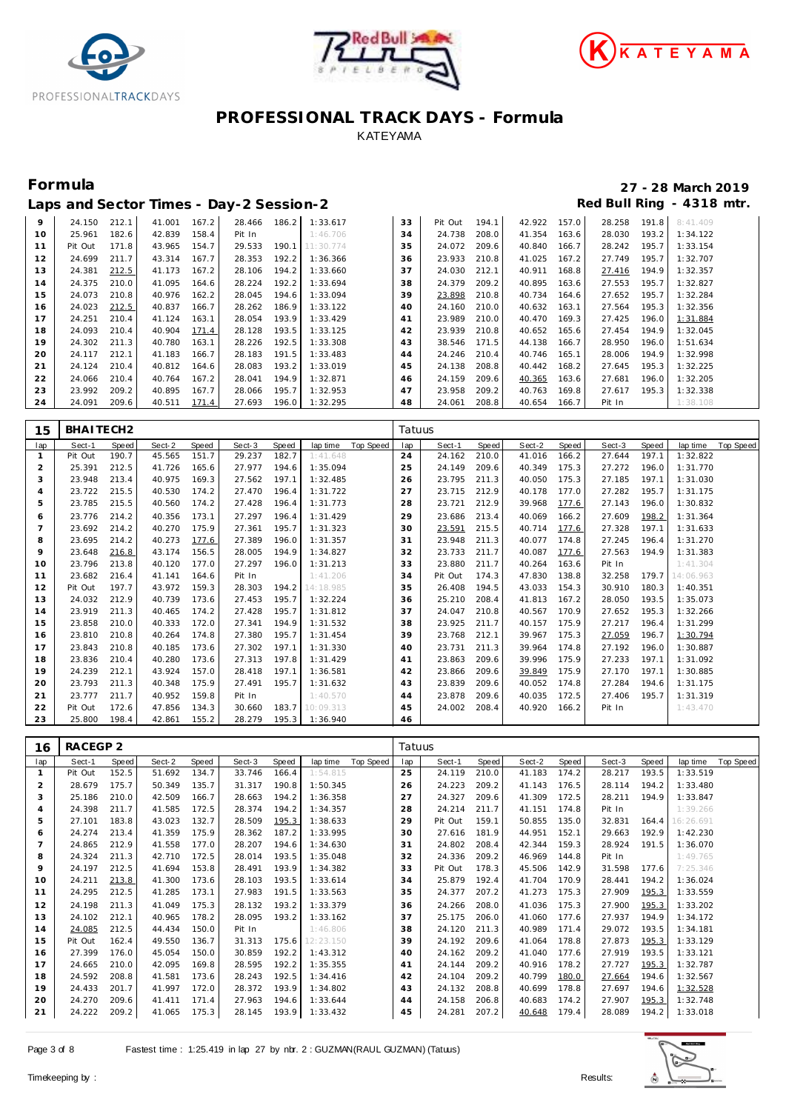





### **Formula 27 - 28 March 2019 Laps and Sector Times - Day-2 Session-2 Red Bull Ring - 4318 mtr.**

|    |         |       |        |       | LUDS UNIU OUULUI INNUS DU LA LOUSSION L |       |                       |    |              |       |              |       |        |       |                |
|----|---------|-------|--------|-------|-----------------------------------------|-------|-----------------------|----|--------------|-------|--------------|-------|--------|-------|----------------|
| 9  | 24.150  | 212.1 | 41.001 | 167.2 |                                         |       | 28.466 186.2 1:33.617 | 33 | Pit Out      | 194.1 | 42.922 157.0 |       | 28.258 |       | 191.8 8:41.409 |
| 10 | 25.961  | 182.6 | 42.839 | 158.4 | Pit In                                  |       | 1:46.706              | 34 | 24.738       | 208.0 | 41.354 163.6 |       | 28.030 | 193.2 | 1:34.122       |
| 11 | Pit Out | 171.8 | 43.965 | 154.7 | 29.533                                  |       | 190.1 11:30.774       | 35 | 24.072       | 209.6 | 40.840       | 166.7 | 28.242 | 195.7 | 1:33.154       |
| 12 | 24.699  | 211.7 | 43.314 | 167.7 | 28.353                                  | 192.2 | 1:36.366              | 36 | 23.933       | 210.8 | 41.025       | 167.2 | 27.749 | 195.7 | 1:32.707       |
| 13 | 24.381  | 212.5 | 41.173 | 167.2 | 28.106                                  | 194.2 | 1:33.660              | 37 | 24.030       | 212.1 | 40.911       | 168.8 | 27.416 | 194.9 | 1:32.357       |
| 14 | 24.375  | 210.0 | 41.095 | 164.6 | 28.224                                  | 192.2 | 1:33.694              | 38 | 24.379       | 209.2 | 40.895       | 163.6 | 27.553 | 195.7 | 1:32.827       |
| 15 | 24.073  | 210.8 | 40.976 | 162.2 | 28.045                                  | 194.6 | 1:33.094              | 39 | 23.898       | 210.8 | 40.734 164.6 |       | 27.652 | 195.7 | 1:32.284       |
| 16 | 24.023  | 212.5 | 40.837 | 166.7 | 28.262                                  | 186.9 | 1:33.122              | 40 | 24.160       | 210.0 | 40.632       | 163.1 | 27.564 | 195.3 | 1:32.356       |
| 17 | 24.251  | 210.4 | 41.124 | 163.1 | 28.054                                  | 193.9 | 1:33.429              | 41 | 23.989       | 210.0 | 40.470       | 169.3 | 27.425 | 196.0 | 1:31.884       |
| 18 | 24.093  | 210.4 | 40.904 | 171.4 | 28.128                                  | 193.5 | 1:33.125              | 42 | 23.939       | 210.8 | 40.652       | 165.6 | 27.454 | 194.9 | 1:32.045       |
| 19 | 24.302  | 211.3 | 40.780 | 163.1 | 28.226                                  | 192.5 | 1:33.308              | 43 | 38.546 171.5 |       | 44.138       | 166.7 | 28.950 | 196.0 | 1:51.634       |
| 20 | 24.117  | 212.1 | 41.183 | 166.7 | 28.183                                  | 191.5 | 1:33.483              | 44 | 24.246       | 210.4 | 40.746       | 165.1 | 28.006 | 194.9 | 1:32.998       |
| 21 | 24.124  | 210.4 | 40.812 | 164.6 | 28.083                                  | 193.2 | 1:33.019              | 45 | 24.138       | 208.8 | 40.442       | 168.2 | 27.645 | 195.3 | 1:32.225       |
| 22 | 24.066  | 210.4 | 40.764 | 167.2 | 28.041                                  | 194.9 | 1:32.871              | 46 | 24.159       | 209.6 | 40.365       | 163.6 | 27.681 | 196.0 | 1:32.205       |
| 23 | 23.992  | 209.2 | 40.895 | 167.7 | 28.066                                  | 195.7 | 1:32.953              | 47 | 23.958       | 209.2 | 40.763       | 169.8 | 27.617 | 195.3 | 1:32.338       |
| 24 | 24.091  | 209.6 | 40.511 | 171.4 | 27.693                                  | 196.0 | 1:32.295              | 48 | 24.061       | 208.8 | 40.654       | 166.7 | Pit In |       | 1:38.108       |

| 15             | BHAITECH2 |       |        |       |        |       |           |           | Tatuus |         |       |        |       |        |       |           |           |
|----------------|-----------|-------|--------|-------|--------|-------|-----------|-----------|--------|---------|-------|--------|-------|--------|-------|-----------|-----------|
| lap            | Sect-1    | Speed | Sect-2 | Speed | Sect-3 | Speed | lap time  | Top Speed | lap    | Sect-1  | Speed | Sect-2 | Speed | Sect-3 | Speed | lap time  | Top Speed |
|                | Pit Out   | 190.7 | 45.565 | 151.7 | 29.237 | 182.7 | 1:41.648  |           | 24     | 24.162  | 210.0 | 41.016 | 166.2 | 27.644 | 197.1 | 1:32.822  |           |
| 2              | 25.391    | 212.5 | 41.726 | 165.6 | 27.977 | 194.6 | 1:35.094  |           | 25     | 24.149  | 209.6 | 40.349 | 175.3 | 27.272 | 196.0 | 1:31.770  |           |
| 3              | 23.948    | 213.4 | 40.975 | 169.3 | 27.562 | 197.1 | 1:32.485  |           | 26     | 23.795  | 211.3 | 40.050 | 175.3 | 27.185 | 197.1 | 1:31.030  |           |
| $\overline{4}$ | 23.722    | 215.5 | 40.530 | 174.2 | 27.470 | 196.4 | 1:31.722  |           | 27     | 23.715  | 212.9 | 40.178 | 177.0 | 27.282 | 195.7 | 1:31.175  |           |
| 5              | 23.785    | 215.5 | 40.560 | 174.2 | 27.428 | 196.4 | 1:31.773  |           | 28     | 23.721  | 212.9 | 39.968 | 177.6 | 27.143 | 196.0 | 1:30.832  |           |
| 6              | 23.776    | 214.2 | 40.356 | 173.1 | 27.297 | 196.4 | 1:31.429  |           | 29     | 23.686  | 213.4 | 40.069 | 166.2 | 27.609 | 198.2 | 1:31.364  |           |
| 7              | 23.692    | 214.2 | 40.270 | 175.9 | 27.361 | 195.7 | 1:31.323  |           | 30     | 23.591  | 215.5 | 40.714 | 177.6 | 27.328 | 197.1 | 1:31.633  |           |
| 8              | 23.695    | 214.2 | 40.273 | 177.6 | 27.389 | 196.0 | 1:31.357  |           | 31     | 23.948  | 211.3 | 40.077 | 174.8 | 27.245 | 196.4 | 1:31.270  |           |
| $\mathsf Q$    | 23.648    | 216.8 | 43.174 | 156.5 | 28.005 | 194.9 | 1:34.827  |           | 32     | 23.733  | 211.7 | 40.087 | 177.6 | 27.563 | 194.9 | 1:31.383  |           |
| 10             | 23.796    | 213.8 | 40.120 | 177.0 | 27.297 | 196.0 | 1:31.213  |           | 33     | 23.880  | 211.7 | 40.264 | 163.6 | Pit In |       | 1:41.304  |           |
| 11             | 23.682    | 216.4 | 41.141 | 164.6 | Pit In |       | 1:41.206  |           | 34     | Pit Out | 174.3 | 47.830 | 138.8 | 32.258 | 179.7 | 14:06.963 |           |
| 12             | Pit Out   | 197.7 | 43.972 | 159.3 | 28.303 | 194.2 | 14:18.985 |           | 35     | 26.408  | 194.5 | 43.033 | 154.3 | 30.910 | 180.3 | 1:40.351  |           |
| 13             | 24.032    | 212.9 | 40.739 | 173.6 | 27.453 | 195.7 | 1:32.224  |           | 36     | 25.210  | 208.4 | 41.813 | 167.2 | 28.050 | 193.5 | 1:35.073  |           |
| 14             | 23.919    | 211.3 | 40.465 | 174.2 | 27.428 | 195.7 | 1:31.812  |           | 37     | 24.047  | 210.8 | 40.567 | 170.9 | 27.652 | 195.3 | 1:32.266  |           |
| 15             | 23.858    | 210.0 | 40.333 | 172.0 | 27.341 | 194.9 | 1:31.532  |           | 38     | 23.925  | 211.7 | 40.157 | 175.9 | 27.217 | 196.4 | 1:31.299  |           |
| 16             | 23.810    | 210.8 | 40.264 | 174.8 | 27.380 | 195.7 | 1:31.454  |           | 39     | 23.768  | 212.1 | 39.967 | 175.3 | 27.059 | 196.7 | 1:30.794  |           |
| 17             | 23.843    | 210.8 | 40.185 | 173.6 | 27.302 | 197.1 | 1:31.330  |           | 40     | 23.731  | 211.3 | 39.964 | 174.8 | 27.192 | 196.0 | 1:30.887  |           |
| 18             | 23.836    | 210.4 | 40.280 | 173.6 | 27.313 | 197.8 | 1:31.429  |           | 41     | 23.863  | 209.6 | 39.996 | 175.9 | 27.233 | 197.1 | 1:31.092  |           |
| 19             | 24.239    | 212.1 | 43.924 | 157.0 | 28.418 | 197.1 | 1:36.581  |           | 42     | 23.866  | 209.6 | 39.849 | 175.9 | 27.170 | 197.1 | 1:30.885  |           |
| 20             | 23.793    | 211.3 | 40.348 | 175.9 | 27.491 | 195.7 | 1:31.632  |           | 43     | 23.839  | 209.6 | 40.052 | 174.8 | 27.284 | 194.6 | 1:31.175  |           |
| 21             | 23.777    | 211.7 | 40.952 | 159.8 | Pit In |       | 1:40.570  |           | 44     | 23.878  | 209.6 | 40.035 | 172.5 | 27.406 | 195.7 | 1:31.319  |           |
| 22             | Pit Out   | 172.6 | 47.856 | 134.3 | 30.660 | 183.7 | 10:09.313 |           | 45     | 24.002  | 208.4 | 40.920 | 166.2 | Pit In |       | 1:43.470  |           |
| 23             | 25.800    | 198.4 | 42.861 | 155.2 | 28.279 | 195.3 | 1:36.940  |           | 46     |         |       |        |       |        |       |           |           |

| 16             | RACEGP 2 |       |        |       |        |       |                 |           | Tatuus |         |       |        |       |        |       |           |           |
|----------------|----------|-------|--------|-------|--------|-------|-----------------|-----------|--------|---------|-------|--------|-------|--------|-------|-----------|-----------|
| lap            | Sect-1   | Speed | Sect-2 | Speed | Sect-3 | Speed | lap time        | Top Speed | lap    | Sect-1  | Speed | Sect-2 | Speed | Sect-3 | Speed | lap time  | Top Speed |
|                | Pit Out  | 152.5 | 51.692 | 134.7 | 33.746 | 166.4 | 1:54.815        |           | 25     | 24.119  | 210.0 | 41.183 | 174.2 | 28.217 | 193.5 | 1:33.519  |           |
| $\overline{2}$ | 28.679   | 175.7 | 50.349 | 135.7 | 31.317 | 190.8 | 1:50.345        |           | 26     | 24.223  | 209.2 | 41.143 | 176.5 | 28.114 | 194.2 | 1:33.480  |           |
| 3              | 25.186   | 210.0 | 42.509 | 166.7 | 28.663 | 194.2 | 1:36.358        |           | 27     | 24.327  | 209.6 | 41.309 | 172.5 | 28.211 | 194.9 | 1:33.847  |           |
| 4              | 24.398   | 211.7 | 41.585 | 172.5 | 28.374 | 194.2 | 1:34.357        |           | 28     | 24.214  | 211.7 | 41.151 | 174.8 | Pit In |       | 1:39.266  |           |
| 5              | 27.101   | 183.8 | 43.023 | 132.7 | 28.509 | 195.3 | 1:38.633        |           | 29     | Pit Out | 159.1 | 50.855 | 135.0 | 32.831 | 164.4 | 16:26.691 |           |
| 6              | 24.274   | 213.4 | 41.359 | 175.9 | 28.362 | 187.2 | 1:33.995        |           | 30     | 27.616  | 181.9 | 44.951 | 152.1 | 29.663 | 192.9 | 1:42.230  |           |
|                | 24.865   | 212.9 | 41.558 | 177.0 | 28.207 | 194.6 | 1:34.630        |           | 31     | 24.802  | 208.4 | 42.344 | 159.3 | 28.924 | 191.5 | 1:36.070  |           |
| 8              | 24.324   | 211.3 | 42.710 | 172.5 | 28.014 | 193.5 | 1:35.048        |           | 32     | 24.336  | 209.2 | 46.969 | 144.8 | Pit In |       | 1:49.765  |           |
| 9              | 24.197   | 212.5 | 41.694 | 153.8 | 28.491 | 193.9 | 1:34.382        |           | 33     | Pit Out | 178.3 | 45.506 | 142.9 | 31.598 | 177.6 | 7:25.346  |           |
| 10             | 24.211   | 213.8 | 41.300 | 173.6 | 28.103 | 193.5 | 1:33.614        |           | 34     | 25.879  | 192.4 | 41.704 | 170.9 | 28.441 | 194.2 | 1:36.024  |           |
| 11             | 24.295   | 212.5 | 41.285 | 173.1 | 27.983 | 191.5 | 1:33.563        |           | 35     | 24.377  | 207.2 | 41.273 | 175.3 | 27.909 | 195.3 | 1:33.559  |           |
| 12             | 24.198   | 211.3 | 41.049 | 175.3 | 28.132 | 193.2 | 1:33.379        |           | 36     | 24.266  | 208.0 | 41.036 | 175.3 | 27.900 | 195.3 | 1:33.202  |           |
| 13             | 24.102   | 212.1 | 40.965 | 178.2 | 28.095 | 193.2 | 1:33.162        |           | 37     | 25.175  | 206.0 | 41.060 | 177.6 | 27.937 | 194.9 | 1:34.172  |           |
| 14             | 24.085   | 212.5 | 44.434 | 150.0 | Pit In |       | 1:46.806        |           | 38     | 24.120  | 211.3 | 40.989 | 171.4 | 29.072 | 193.5 | 1:34.181  |           |
| 15             | Pit Out  | 162.4 | 49.550 | 136.7 | 31.313 |       | 175.6 12:23.150 |           | 39     | 24.192  | 209.6 | 41.064 | 178.8 | 27.873 | 195.3 | 1:33.129  |           |
| 16             | 27.399   | 176.0 | 45.054 | 150.0 | 30.859 | 192.2 | 1:43.312        |           | 40     | 24.162  | 209.2 | 41.040 | 177.6 | 27.919 | 193.5 | 1:33.121  |           |
| 17             | 24.665   | 210.0 | 42.095 | 169.8 | 28.595 | 192.2 | 1:35.355        |           | 41     | 24.144  | 209.2 | 40.916 | 178.2 | 27.727 | 195.3 | 1:32.787  |           |
| 18             | 24.592   | 208.8 | 41.581 | 173.6 | 28.243 | 192.5 | 1:34.416        |           | 42     | 24.104  | 209.2 | 40.799 | 180.0 | 27.664 | 194.6 | 1:32.567  |           |
| 19             | 24.433   | 201.7 | 41.997 | 172.0 | 28.372 | 193.9 | 1:34.802        |           | 43     | 24.132  | 208.8 | 40.699 | 178.8 | 27.697 | 194.6 | 1:32.528  |           |
| 20             | 24.270   | 209.6 | 41.411 | 171.4 | 27.963 | 194.6 | 1:33.644        |           | 44     | 24.158  | 206.8 | 40.683 | 174.2 | 27.907 | 195.3 | 1:32.748  |           |
| 21             | 24.222   | 209.2 | 41.065 | 175.3 | 28.145 | 193.9 | 1:33.432        |           | 45     | 24.281  | 207.2 | 40.648 | 179.4 | 28.089 | 194.2 | 1:33.018  |           |

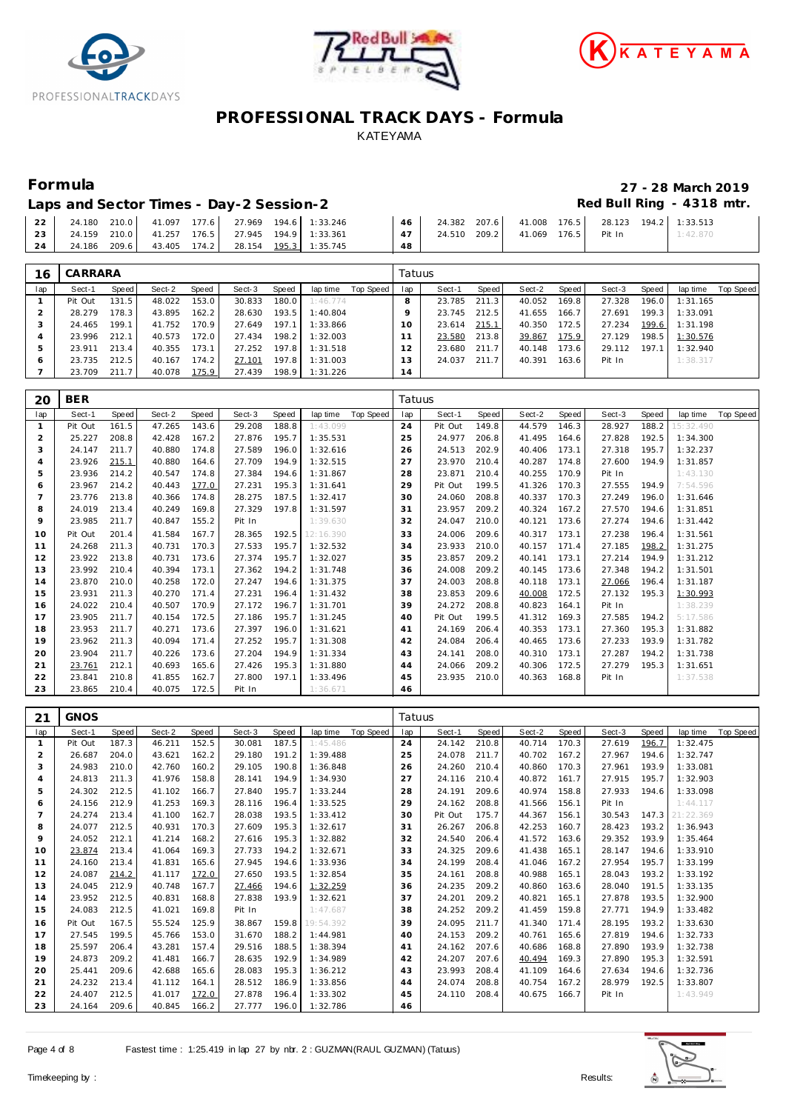





# **Formula 27 - 28 March 2019**

Laps and Sector Times - Day-2 Session-2 **Accord Accord Payable 2** Red Bull Ring - 4318 mtr.

|    | 22   24.180 210.0   41.097 177.6   27.969 194.6 1:33.246   |                                                 |    |                                     |          |
|----|------------------------------------------------------------|-------------------------------------------------|----|-------------------------------------|----------|
|    | 23   24.159 210.0   41.257 176.5   27.945 194.9   1:33.361 |                                                 |    | 47 24.510 209.2 41.069 176.5 Pit In | 1:42.870 |
| 24 |                                                            | 24.186 209.6 43.405 174.2 28.154 195.3 1:35.745 | 48 |                                     |          |

| 16           | CARRARA |       |        |       |        |       |          |           | Tatuus |        |       |        |       |        |       |          |           |
|--------------|---------|-------|--------|-------|--------|-------|----------|-----------|--------|--------|-------|--------|-------|--------|-------|----------|-----------|
| lap          | Sect-1  | Speed | Sect-2 | Speed | Sect-3 | Speed | lap time | Top Speed | lap    | Sect-1 | Speed | Sect-2 | Speed | Sect-3 | Speed | lap time | Top Speed |
|              | Pit Out | 131.5 | 48.022 | 153.0 | 30.833 | 180.0 | 1:46.774 |           | 8      | 23.785 | 211.3 | 40.052 | 169.8 | 27.328 | 196.0 | 1:31.165 |           |
|              | 28.279  | 178.3 | 43.895 | 162.2 | 28.630 | 193.5 | 1:40.804 |           |        | 23.745 | 212.5 | 41.655 | 166.7 | 27.691 | 199.3 | 1:33.091 |           |
| $\cdot$      | 24.465  | 199.1 | 41.752 | 170.9 | 27.649 | 197.1 | 1:33.866 |           | 10     | 23.614 | 215.1 | 40.350 | 172.5 | 27.234 | 199.6 | 1:31.198 |           |
|              | 23.996  | 212.1 | 40.573 | 172.0 | 27.434 | 198.2 | 1:32.003 |           |        | 23.580 | 213.8 | 39.867 | 175.9 | 27.129 | 198.5 | 1:30.576 |           |
| 5            | 23.911  | 213.4 | 40.355 | 173.1 | 27.252 | 197.8 | 1:31.518 |           | 12     | 23.680 | 211.7 | 40.148 | 173.6 | 29.112 | 197.1 | 1:32.940 |           |
| <sub>6</sub> | 23.735  | 212.5 | 40.167 | 174.2 | 27.101 | 197.8 | 1:31.003 |           | 13     | 24.037 | 211.7 | 40.391 | 163.6 | Pit In |       | 1:38.317 |           |
|              | 23.709  | 211.7 | 40.078 | 175.9 | 27.439 | 198.9 | 1:31.226 |           | 14     |        |       |        |       |        |       |          |           |

| 20             | <b>BER</b> |       |        |       |        |       |           |           | Tatuus |         |       |        |       |        |       |           |           |
|----------------|------------|-------|--------|-------|--------|-------|-----------|-----------|--------|---------|-------|--------|-------|--------|-------|-----------|-----------|
| lap            | Sect-1     | Speed | Sect-2 | Speed | Sect-3 | Speed | lap time  | Top Speed | lap    | Sect-1  | Speed | Sect-2 | Speed | Sect-3 | Speed | lap time  | Top Speed |
| $\mathbf{1}$   | Pit Out    | 161.5 | 47.265 | 143.6 | 29.208 | 188.8 | 1:43.099  |           | 24     | Pit Out | 149.8 | 44.579 | 146.3 | 28.927 | 188.2 | 15:32.490 |           |
| $\overline{2}$ | 25.227     | 208.8 | 42.428 | 167.2 | 27.876 | 195.7 | 1:35.531  |           | 25     | 24.977  | 206.8 | 41.495 | 164.6 | 27.828 | 192.5 | 1:34.300  |           |
| 3              | 24.147     | 211.7 | 40.880 | 174.8 | 27.589 | 196.0 | 1:32.616  |           | 26     | 24.513  | 202.9 | 40.406 | 173.1 | 27.318 | 195.7 | 1:32.237  |           |
| $\overline{4}$ | 23.926     | 215.1 | 40.880 | 164.6 | 27.709 | 194.9 | 1:32.515  |           | 27     | 23.970  | 210.4 | 40.287 | 174.8 | 27.600 | 194.9 | 1:31.857  |           |
| 5              | 23.936     | 214.2 | 40.547 | 174.8 | 27.384 | 194.6 | 1:31.867  |           | 28     | 23.871  | 210.4 | 40.255 | 170.9 | Pit In |       | 1:43.130  |           |
| 6              | 23.967     | 214.2 | 40.443 | 177.0 | 27.231 | 195.3 | 1:31.641  |           | 29     | Pit Out | 199.5 | 41.326 | 170.3 | 27.555 | 194.9 | 7:54.596  |           |
| $\overline{7}$ | 23.776     | 213.8 | 40.366 | 174.8 | 28.275 | 187.5 | 1:32.417  |           | 30     | 24.060  | 208.8 | 40.337 | 170.3 | 27.249 | 196.0 | 1:31.646  |           |
| 8              | 24.019     | 213.4 | 40.249 | 169.8 | 27.329 | 197.8 | 1:31.597  |           | 31     | 23.957  | 209.2 | 40.324 | 167.2 | 27.570 | 194.6 | 1:31.851  |           |
| 9              | 23.985     | 211.7 | 40.847 | 155.2 | Pit In |       | 1:39.630  |           | 32     | 24.047  | 210.0 | 40.121 | 173.6 | 27.274 | 194.6 | 1:31.442  |           |
| 10             | Pit Out    | 201.4 | 41.584 | 167.7 | 28.365 | 192.5 | 12:16.390 |           | 33     | 24.006  | 209.6 | 40.317 | 173.1 | 27.238 | 196.4 | 1:31.561  |           |
| 11             | 24.268     | 211.3 | 40.731 | 170.3 | 27.533 | 195.7 | 1:32.532  |           | 34     | 23.933  | 210.0 | 40.157 | 171.4 | 27.185 | 198.2 | 1:31.275  |           |
| 12             | 23.922     | 213.8 | 40.731 | 173.6 | 27.374 | 195.7 | 1:32.027  |           | 35     | 23.857  | 209.2 | 40.141 | 173.1 | 27.214 | 194.9 | 1:31.212  |           |
| 13             | 23.992     | 210.4 | 40.394 | 173.1 | 27.362 | 194.2 | 1:31.748  |           | 36     | 24.008  | 209.2 | 40.145 | 173.6 | 27.348 | 194.2 | 1:31.501  |           |
| 14             | 23.870     | 210.0 | 40.258 | 172.0 | 27.247 | 194.6 | 1:31.375  |           | 37     | 24.003  | 208.8 | 40.118 | 173.1 | 27.066 | 196.4 | 1:31.187  |           |
| 15             | 23.931     | 211.3 | 40.270 | 171.4 | 27.231 | 196.4 | 1:31.432  |           | 38     | 23.853  | 209.6 | 40.008 | 172.5 | 27.132 | 195.3 | 1:30.993  |           |
| 16             | 24.022     | 210.4 | 40.507 | 170.9 | 27.172 | 196.7 | 1:31.701  |           | 39     | 24.272  | 208.8 | 40.823 | 164.1 | Pit In |       | 1:38.239  |           |
| 17             | 23.905     | 211.7 | 40.154 | 172.5 | 27.186 | 195.7 | 1:31.245  |           | 40     | Pit Out | 199.5 | 41.312 | 169.3 | 27.585 | 194.2 | 5:17.586  |           |
| 18             | 23.953     | 211.7 | 40.271 | 173.6 | 27.397 | 196.0 | 1:31.621  |           | 41     | 24.169  | 206.4 | 40.353 | 173.1 | 27.360 | 195.3 | 1:31.882  |           |
| 19             | 23.962     | 211.3 | 40.094 | 171.4 | 27.252 | 195.7 | 1:31.308  |           | 42     | 24.084  | 206.4 | 40.465 | 173.6 | 27.233 | 193.9 | 1:31.782  |           |
| 20             | 23.904     | 211.7 | 40.226 | 173.6 | 27.204 | 194.9 | 1:31.334  |           | 43     | 24.141  | 208.0 | 40.310 | 173.1 | 27.287 | 194.2 | 1:31.738  |           |
| 21             | 23.761     | 212.1 | 40.693 | 165.6 | 27.426 | 195.3 | 1:31.880  |           | 44     | 24.066  | 209.2 | 40.306 | 172.5 | 27.279 | 195.3 | 1:31.651  |           |
| 22             | 23.841     | 210.8 | 41.855 | 162.7 | 27.800 | 197.1 | 1:33.496  |           | 45     | 23.935  | 210.0 | 40.363 | 168.8 | Pit In |       | 1:37.538  |           |
| 23             | 23.865     | 210.4 | 40.075 | 172.5 | Pit In |       | 1:36.671  |           | 46     |         |       |        |       |        |       |           |           |

| 21  | <b>GNOS</b> |       |        |       |        |       |           |           | Tatuus |         |       |        |       |        |       |           |           |
|-----|-------------|-------|--------|-------|--------|-------|-----------|-----------|--------|---------|-------|--------|-------|--------|-------|-----------|-----------|
| lap | Sect-1      | Speed | Sect-2 | Speed | Sect-3 | Speed | lap time  | Top Speed | lap    | Sect-1  | Speed | Sect-2 | Speed | Sect-3 | Speed | lap time  | Top Speed |
|     | Pit Out     | 187.3 | 46.211 | 152.5 | 30.081 | 187.5 | 1:45.486  |           | 24     | 24.142  | 210.8 | 40.714 | 170.3 | 27.619 | 196.7 | 1:32.475  |           |
| 2   | 26.687      | 204.0 | 43.621 | 162.2 | 29.180 | 191.2 | 1:39.488  |           | 25     | 24.078  | 211.7 | 40.702 | 167.2 | 27.967 | 194.6 | 1:32.747  |           |
| 3   | 24.983      | 210.0 | 42.760 | 160.2 | 29.105 | 190.8 | 1:36.848  |           | 26     | 24.260  | 210.4 | 40.860 | 170.3 | 27.961 | 193.9 | 1:33.081  |           |
| 4   | 24.813      | 211.3 | 41.976 | 158.8 | 28.141 | 194.9 | 1:34.930  |           | 27     | 24.116  | 210.4 | 40.872 | 161.7 | 27.915 | 195.7 | 1:32.903  |           |
| 5   | 24.302      | 212.5 | 41.102 | 166.7 | 27.840 | 195.7 | 1:33.244  |           | 28     | 24.191  | 209.6 | 40.974 | 158.8 | 27.933 | 194.6 | 1:33.098  |           |
| 6   | 24.156      | 212.9 | 41.253 | 169.3 | 28.116 | 196.4 | 1:33.525  |           | 29     | 24.162  | 208.8 | 41.566 | 156.1 | Pit In |       | 1:44.117  |           |
|     | 24.274      | 213.4 | 41.100 | 162.7 | 28.038 | 193.5 | 1:33.412  |           | 30     | Pit Out | 175.7 | 44.367 | 156.1 | 30.543 | 147.3 | 21:22.369 |           |
| 8   | 24.077      | 212.5 | 40.931 | 170.3 | 27.609 | 195.3 | 1:32.617  |           | 31     | 26.267  | 206.8 | 42.253 | 160.7 | 28.423 | 193.2 | 1:36.943  |           |
| 9   | 24.052      | 212.1 | 41.214 | 168.2 | 27.616 | 195.3 | 1:32.882  |           | 32     | 24.540  | 206.4 | 41.572 | 163.6 | 29.352 | 193.9 | 1:35.464  |           |
| 10  | 23.874      | 213.4 | 41.064 | 169.3 | 27.733 | 194.2 | 1:32.671  |           | 33     | 24.325  | 209.6 | 41.438 | 165.1 | 28.147 | 194.6 | 1:33.910  |           |
| 11  | 24.160      | 213.4 | 41.831 | 165.6 | 27.945 | 194.6 | 1:33.936  |           | 34     | 24.199  | 208.4 | 41.046 | 167.2 | 27.954 | 195.7 | 1:33.199  |           |
| 12  | 24.087      | 214.2 | 41.117 | 172.0 | 27.650 | 193.5 | 1:32.854  |           | 35     | 24.161  | 208.8 | 40.988 | 165.1 | 28.043 | 193.2 | 1:33.192  |           |
| 13  | 24.045      | 212.9 | 40.748 | 167.7 | 27.466 | 194.6 | 1:32.259  |           | 36     | 24.235  | 209.2 | 40.860 | 163.6 | 28.040 | 191.5 | 1:33.135  |           |
| 14  | 23.952      | 212.5 | 40.831 | 168.8 | 27.838 | 193.9 | 1:32.621  |           | 37     | 24.201  | 209.2 | 40.821 | 165.1 | 27.878 | 193.5 | 1:32.900  |           |
| 15  | 24.083      | 212.5 | 41.021 | 169.8 | Pit In |       | 1:47.687  |           | 38     | 24.252  | 209.2 | 41.459 | 159.8 | 27.771 | 194.9 | 1:33.482  |           |
| 16  | Pit Out     | 167.5 | 55.524 | 125.9 | 38.867 | 159.8 | 19:54.392 |           | 39     | 24.095  | 211.7 | 41.340 | 171.4 | 28.195 | 193.2 | 1:33.630  |           |
| 17  | 27.545      | 199.5 | 45.766 | 153.0 | 31.670 | 188.2 | 1:44.981  |           | 40     | 24.153  | 209.2 | 40.761 | 165.6 | 27.819 | 194.6 | 1:32.733  |           |
| 18  | 25.597      | 206.4 | 43.281 | 157.4 | 29.516 | 188.5 | 1:38.394  |           | 41     | 24.162  | 207.6 | 40.686 | 168.8 | 27.890 | 193.9 | 1:32.738  |           |
| 19  | 24.873      | 209.2 | 41.481 | 166.7 | 28.635 | 192.9 | 1:34.989  |           | 42     | 24.207  | 207.6 | 40.494 | 169.3 | 27.890 | 195.3 | 1:32.591  |           |
| 20  | 25.441      | 209.6 | 42.688 | 165.6 | 28.083 | 195.3 | 1:36.212  |           | 43     | 23.993  | 208.4 | 41.109 | 164.6 | 27.634 | 194.6 | 1:32.736  |           |
| 21  | 24.232      | 213.4 | 41.112 | 164.1 | 28.512 | 186.9 | 1:33.856  |           | 44     | 24.074  | 208.8 | 40.754 | 167.2 | 28.979 | 192.5 | 1:33.807  |           |
| 22  | 24.407      | 212.5 | 41.017 | 172.0 | 27.878 | 196.4 | 1:33.302  |           | 45     | 24.110  | 208.4 | 40.675 | 166.7 | Pit In |       | 1:43.949  |           |
| 23  | 24.164      | 209.6 | 40.845 | 166.2 | 27.777 | 196.0 | 1:32.786  |           | 46     |         |       |        |       |        |       |           |           |

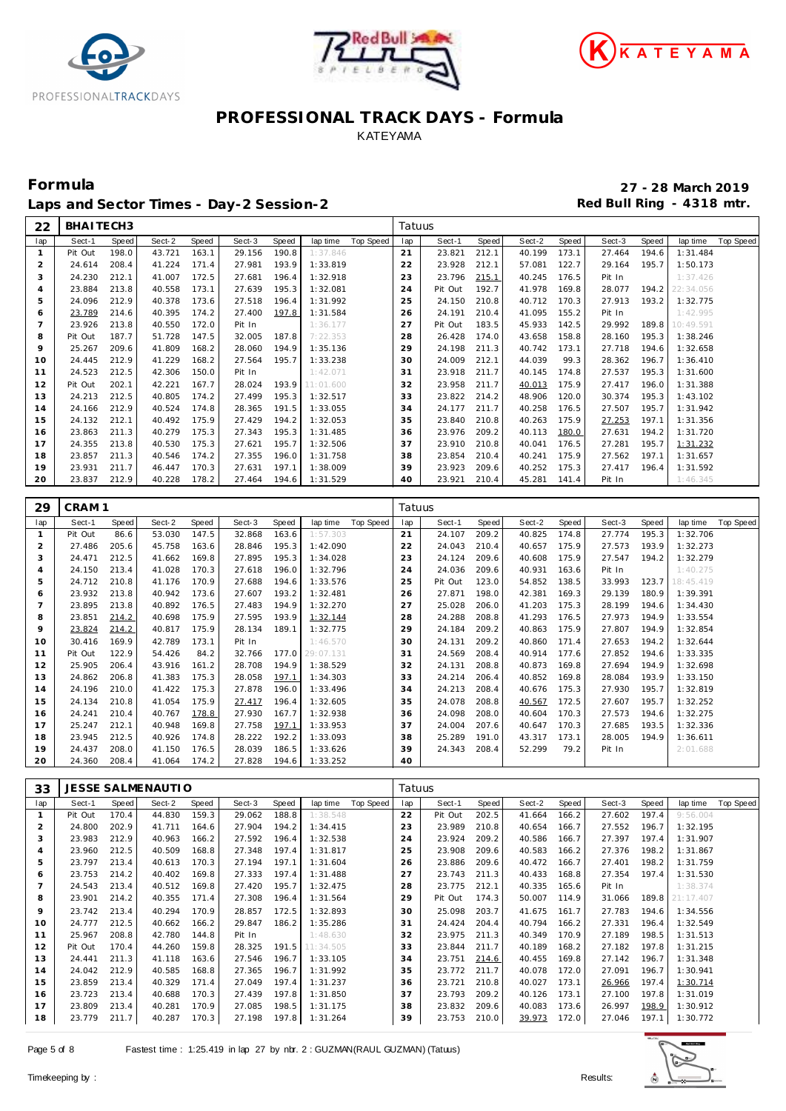





Laps and Sector Times - Day-2 Session-2 **Accord Accord Payable 2** Red Bull Ring - 4318 mtr.

**Formula 27 - 28 March 2019**

| 22             | BHAITECH3         |                       |                    |                |                  |                |                      |                  | Tatuus    |                  |                |                  |                |                  |                |                      |                  |
|----------------|-------------------|-----------------------|--------------------|----------------|------------------|----------------|----------------------|------------------|-----------|------------------|----------------|------------------|----------------|------------------|----------------|----------------------|------------------|
| lap            | Sect-1            | Speed                 | Sect-2             | Speed          | Sect-3           | Speed          | lap time             | Top Speed        | lap       | Sect-1           | Speed          | Sect-2           | Speed          | Sect-3           | Speed          | lap time             | Top Speed        |
| $\mathbf{1}$   | Pit Out           | 198.0                 | 43.721             | 163.1          | 29.156           | 190.8          | 1:37.846             |                  | 21        | 23.821           | 212.1          | 40.199           | 173.1          | 27.464           | 194.6          | 1:31.484             |                  |
| $\overline{2}$ | 24.614            | 208.4                 | 41.224             | 171.4          | 27.981           | 193.9          | 1:33.819             |                  | 22        | 23.928           | 212.1          | 57.081           | 122.7          | 29.164           | 195.7          | 1:50.173             |                  |
| 3              | 24.230            | 212.1                 | 41.007             | 172.5          | 27.681           | 196.4          | 1:32.918             |                  | 23        | 23.796           | 215.1          | 40.245           | 176.5          | Pit In           |                | 1:37.426             |                  |
| $\overline{4}$ | 23.884            | 213.8                 | 40.558             | 173.1          | 27.639           | 195.3          | 1:32.081             |                  | 24        | Pit Out          | 192.7          | 41.978           | 169.8          | 28.077           | 194.2          | 22:34.056            |                  |
| 5              | 24.096            | 212.9                 | 40.378             | 173.6          | 27.518           | 196.4          | 1:31.992             |                  | 25        | 24.150           | 210.8          | 40.712           | 170.3          | 27.913           | 193.2          | 1:32.775             |                  |
| 6              | 23.789            | 214.6                 | 40.395             | 174.2          | 27.400           | 197.8          | 1:31.584             |                  | 26        | 24.191           | 210.4          | 41.095           | 155.2          | Pit In           |                | 1:42.995             |                  |
| $\overline{7}$ | 23.926            | 213.8                 | 40.550             | 172.0          | Pit In           |                | 1:36.177             |                  | 27        | Pit Out          | 183.5          | 45.933           | 142.5          | 29.992           | 189.8          | 10:49.591            |                  |
| 8              | Pit Out           | 187.7                 | 51.728             | 147.5          | 32.005           | 187.8          | 7:22.353             |                  | 28        | 26.428           | 174.0          | 43.658           | 158.8          | 28.160           | 195.3          | 1:38.246             |                  |
| 9              | 25.267            | 209.6                 | 41.809             | 168.2          | 28.060           | 194.9          | 1:35.136             |                  | 29        | 24.198           | 211.3          | 40.742           | 173.1          | 27.718           | 194.6          | 1:32.658             |                  |
| 10             | 24.445            | 212.9                 | 41.229             | 168.2          | 27.564           | 195.7          | 1:33.238             |                  | 30        | 24.009           | 212.1          | 44.039           | 99.3           | 28.362           | 196.7          | 1:36.410             |                  |
| 11             | 24.523            | 212.5                 | 42.306             | 150.0          | Pit In           |                | 1:42.071             |                  | 31        | 23.918           | 211.7          | 40.145           | 174.8          | 27.537           | 195.3          | 1:31.600             |                  |
| 12             | Pit Out           | 202.1                 | 42.221             | 167.7          | 28.024           | 193.9          | 11:01.600            |                  | 32        | 23.958           | 211.7          | 40.013           | 175.9          | 27.417           | 196.0          | 1:31.388             |                  |
| 13<br>14       | 24.213<br>24.166  | 212.5<br>212.9        | 40.805<br>40.524   | 174.2          | 27.499           | 195.3<br>191.5 | 1:32.517             |                  | 33<br>34  | 23.822<br>24.177 | 214.2<br>211.7 | 48.906           | 120.0<br>176.5 | 30.374<br>27.507 | 195.3<br>195.7 | 1:43.102             |                  |
| 15             | 24.132            | 212.1                 | 40.492             | 174.8<br>175.9 | 28.365<br>27.429 | 194.2          | 1:33.055<br>1:32.053 |                  | 35        | 23.840           | 210.8          | 40.258<br>40.263 | 175.9          | 27.253           | 197.1          | 1:31.942<br>1:31.356 |                  |
| 16             | 23.863            | 211.3                 | 40.279             | 175.3          | 27.343           | 195.3          | 1:31.485             |                  | 36        | 23.976           | 209.2          | 40.113           | 180.0          | 27.631           | 194.2          | 1:31.720             |                  |
| 17             | 24.355            | 213.8                 | 40.530             | 175.3          | 27.621           | 195.7          | 1:32.506             |                  | 37        | 23.910           | 210.8          | 40.041           | 176.5          | 27.281           | 195.7          | 1:31.232             |                  |
| 18             | 23.857            | 211.3                 | 40.546             | 174.2          | 27.355           | 196.0          | 1:31.758             |                  | 38        | 23.854           | 210.4          | 40.241           | 175.9          | 27.562           | 197.1          | 1:31.657             |                  |
| 19             | 23.931            | 211.7                 | 46.447             | 170.3          | 27.631           | 197.1          | 1:38.009             |                  | 39        | 23.923           | 209.6          | 40.252           | 175.3          | 27.417           | 196.4          | 1:31.592             |                  |
| 20             | 23.837            | 212.9                 | 40.228             | 178.2          | 27.464           | 194.6          | 1:31.529             |                  | 40        | 23.921           | 210.4          | 45.281           | 141.4          | Pit In           |                | 1:46.345             |                  |
|                |                   |                       |                    |                |                  |                |                      |                  |           |                  |                |                  |                |                  |                |                      |                  |
| 29             | CRAM <sub>1</sub> |                       |                    |                |                  |                |                      |                  | Tatuus    |                  |                |                  |                |                  |                |                      |                  |
| lap            | Sect-1            | Speed                 | Sect-2             | Speed          | Sect-3           | Speed          | lap time             | Top Speed        | lap       | Sect-1           | Speed          | Sect-2           | Speed          | Sect-3           | Speed          | lap time             | <b>Top Speed</b> |
| $\mathbf{1}$   | Pit Out           | 86.6                  | 53.030             | 147.5          | 32.868           | 163.6          | 1:57.303             |                  | 21        | 24.107           | 209.2          | 40.825           | 174.8          | 27.774           | 195.3          | 1:32.706             |                  |
| $\overline{2}$ | 27.486            | 205.6                 | 45.758             | 163.6          | 28.846           | 195.3          | 1:42.090             |                  | 22        | 24.043           | 210.4          | 40.657           | 175.9          | 27.573           | 193.9          | 1:32.273             |                  |
| 3              | 24.471            | 212.5                 | 41.662             | 169.8          | 27.895           | 195.3          | 1:34.028             |                  | 23        | 24.124           | 209.6          | 40.608           | 175.9          | 27.547           | 194.2          | 1:32.279             |                  |
| $\overline{4}$ | 24.150            | 213.4                 | 41.028             | 170.3          | 27.618           | 196.0          | 1:32.796             |                  | 24        | 24.036           | 209.6          | 40.931           | 163.6          | Pit In           |                | 1:40.275             |                  |
| 5              | 24.712            | 210.8                 | 41.176             | 170.9          | 27.688           | 194.6          | 1:33.576             |                  | 25        | Pit Out          | 123.0          | 54.852           | 138.5          | 33.993           | 123.7          | 18:45.419            |                  |
| 6              | 23.932            | 213.8                 | 40.942             | 173.6          | 27.607           | 193.2          | 1:32.481             |                  | 26        | 27.871           | 198.0          | 42.381           | 169.3          | 29.139           | 180.9          | 1:39.391             |                  |
| $\overline{7}$ | 23.895            | 213.8                 | 40.892             | 176.5          | 27.483           | 194.9          | 1:32.270             |                  | 27        | 25.028           | 206.0          | 41.203           | 175.3          | 28.199           | 194.6          | 1:34.430             |                  |
| 8              | 23.851            | 214.2                 | 40.698             | 175.9          | 27.595           | 193.9          | 1:32.144             |                  | 28        | 24.288           | 208.8          | 41.293           | 176.5          | 27.973           | 194.9          | 1:33.554             |                  |
| 9              | 23.824            | 214.2                 | 40.817             | 175.9          | 28.134           | 189.1          | 1:32.775             |                  | 29        | 24.184           | 209.2          | 40.863           | 175.9          | 27.807           | 194.9          | 1:32.854             |                  |
| 10             | 30.416            | 169.9                 | 42.789             | 173.1          | Pit In           |                | 1:46.570             |                  | 30        | 24.131           | 209.2          | 40.860           | 171.4          | 27.653           | 194.2          | 1:32.644             |                  |
| 11             | Pit Out           | 122.9                 | 54.426             | 84.2           | 32.766           | 177.0          | 29:07.131            |                  | 31        | 24.569           | 208.4          | 40.914           | 177.6          | 27.852           | 194.6          | 1:33.335             |                  |
| 12             | 25.905            | 206.4                 | 43.916             | 161.2          | 28.708           | 194.9          | 1:38.529             |                  | 32        | 24.131           | 208.8          | 40.873           | 169.8          | 27.694           | 194.9          | 1:32.698             |                  |
| 13             | 24.862            | 206.8                 | 41.383             | 175.3          | 28.058           | 197.1          | 1:34.303             |                  | 33        | 24.214           | 206.4          | 40.852           | 169.8          | 28.084           | 193.9          | 1:33.150             |                  |
| 14             | 24.196            | 210.0                 | 41.422             | 175.3          | 27.878           | 196.0          | 1:33.496             |                  | 34        | 24.213           | 208.4          | 40.676           | 175.3          | 27.930           | 195.7          | 1:32.819             |                  |
| 15             | 24.134            | 210.8                 | 41.054             | 175.9          | 27.417           | 196.4          | 1:32.605             |                  | 35        | 24.078           | 208.8          | 40.567           | 172.5          | 27.607           | 195.7          | 1:32.252             |                  |
| 16             | 24.241            | 210.4                 | 40.767             | 178.8          | 27.930           | 167.7          | 1:32.938             |                  | 36        | 24.098           | 208.0          | 40.604           | 170.3          | 27.573           | 194.6          | 1:32.275             |                  |
| 17             | 25.247            | 212.1                 | 40.948             | 169.8          | 27.758           | 197.1          | 1:33.953             |                  | 37        | 24.004           | 207.6          | 40.647           | 170.3          | 27.685           | 193.5          | 1:32.336             |                  |
| 18             | 23.945            | 212.5                 | 40.926             | 174.8          | 28.222           | 192.2          | 1:33.093             |                  | 38        | 25.289           | 191.0          | 43.317           | 173.1          | 28.005           | 194.9          | 1:36.611             |                  |
| 19             | 24.437            | 208.0                 | 41.150<br>41.064   | 176.5          | 28.039           | 186.5          | 1:33.626             |                  | 39        | 24.343           | 208.4          | 52.299           | 79.2           | Pit In           |                | 2:01.688             |                  |
| 20             | 24.360            | 208.4                 |                    | 174.2          | 27.828           | 194.6          | 1:33.252             |                  | 40        |                  |                |                  |                |                  |                |                      |                  |
| 33             |                   |                       | JESSE SALMENAUTI O |                |                  |                |                      |                  | Tatuus    |                  |                |                  |                |                  |                |                      |                  |
| lap            | Sect-1            |                       | Sect-2             |                | Sect-3           |                | lap time             | <b>Top Speed</b> |           | Sect-1           | Speed          | Sect-2           | Speed          | Sect-3           |                | lap time             | <b>Top Speed</b> |
|                | Pit Out           | <b>Speed</b><br>170.4 | 44.830             | Speed<br>159.3 | 29.062           | Speed<br>188.8 | 1:38.548             |                  | lap<br>22 | Pit Out          | 202.5          | 41.664           | 166.2          | 27.602           | Speed<br>197.4 | 9:56.004             |                  |
| $\overline{2}$ | 24.800            | 202.9                 | 41.711             | 164.6          | 27.904           | 194.2          | 1:34.415             |                  | 23        | 23.989           | 210.8          | 40.654           | 166.7          | 27.552 196.7     |                | 1:32.195             |                  |
| 3              | 23.983            | 212.9                 | 40.963             | 166.2          | 27.592           | 196.4          | 1:32.538             |                  | 24        | 23.924           | 209.2          | 40.586           | 166.7          | 27.397           | 197.4          | 1:31.907             |                  |
| 4              | 23.960            | 212.5                 | 40.509             | 168.8          | 27.348           | 197.4          | 1:31.817             |                  | 25        | 23.908           | 209.6          | 40.583           | 166.2          | 27.376           | 198.2          | 1:31.867             |                  |
| 5              | 23.797            | 213.4                 | 40.613             | 170.3          | 27.194           | 197.1          | 1:31.604             |                  | 26        | 23.886           | 209.6          | 40.472           | 166.7          | 27.401           | 198.2          | 1:31.759             |                  |
| 6              | 23.753            | 214.2                 | 40.402             | 169.8          | 27.333           | 197.4          | 1:31.488             |                  | 27        | 23.743           | 211.3          | 40.433           | 168.8          | 27.354           | 197.4          | 1:31.530             |                  |
| $\overline{7}$ | 24.543            | 213.4                 | 40.512             | 169.8          | 27.420           | 195.7          | 1:32.475             |                  | 28        | 23.775           | 212.1          | 40.335           | 165.6          | Pit In           |                | 1:38.374             |                  |
| 8              | 23.901            | 214.2                 | 40.355             | 171.4          | 27.308           | 196.4          | 1:31.564             |                  | 29        | Pit Out          | 174.3          | 50.007 114.9     |                | 31.066           | 189.8          | 21:17.407            |                  |
| 9              | 23.742            | 213.4                 | 40.294             | 170.9          | 28.857           | 172.5          | 1:32.893             |                  | 30        | 25.098           | 203.7          | 41.675           | 161.7          | 27.783           | 194.6          | 1:34.556             |                  |
| 10             | 24.777            | 212.5                 | 40.662             | 166.2          | 29.847           | 186.2          | 1:35.286             |                  | 31        | 24.424           | 204.4          | 40.794           | 166.2          | 27.331           | 196.4          | 1:32.549             |                  |
| 11             | 25.967            | 208.8                 | 42.780             | 144.8          | Pit In           |                | 1:48.630             |                  | 32        | 23.975           | 211.3          | 40.349           | 170.9          | 27.189           | 198.5          | 1:31.513             |                  |
| 12             | Pit Out           | 170.4                 | 44.260             | 159.8          | 28.325           | 191.5          | 11:34.505            |                  | 33        | 23.844           | 211.7          | 40.189           | 168.2          | 27.182           | 197.8          | 1:31.215             |                  |
| 13             | 24.441            | 211.3                 | 41.118             | 163.6          | 27.546           | 196.7          | 1:33.105             |                  | 34        | 23.751           | 214.6          | 40.455           | 169.8          | 27.142           | 196.7          | 1:31.348             |                  |
| 14             | 24.042            | 212.9                 | 40.585             | 168.8          | 27.365           | 196.7          | 1:31.992             |                  | 35        | 23.772           | 211.7          | 40.078           | 172.0          | 27.091           | 196.7          | 1:30.941             |                  |
| 15             | 23.859            | 213.4                 | 40.329             | 171.4          | 27.049           | 197.4          | 1:31.237             |                  | 36        | 23.721           | 210.8          | 40.027           | 173.1          | 26.966           | 197.4          | 1:30.714             |                  |
| 16             | 23.723            | 213.4                 | 40.688             | 170.3          | 27.439           | 197.8          | 1:31.850             |                  | 37        | 23.793           | 209.2          | 40.126           | 173.1          | 27.100           | 197.8          | 1:31.019             |                  |
| 17<br>18       | 23.809            | 213.4                 | 40.281             | 170.9          | 27.085           | 198.5          | 1:31.175             |                  | 38        | 23.832           | 209.6          | 40.083 173.6     |                | 26.997           | 198.9          | 1:30.912             |                  |
|                | 23.779            | 211.7                 | 40.287             | 170.3          | 27.198           | 197.8          | 1:31.264             |                  | 39        | 23.753           | 210.0          | 39.973 172.0     |                | 27.046           | 197.1          | 1:30.772             |                  |

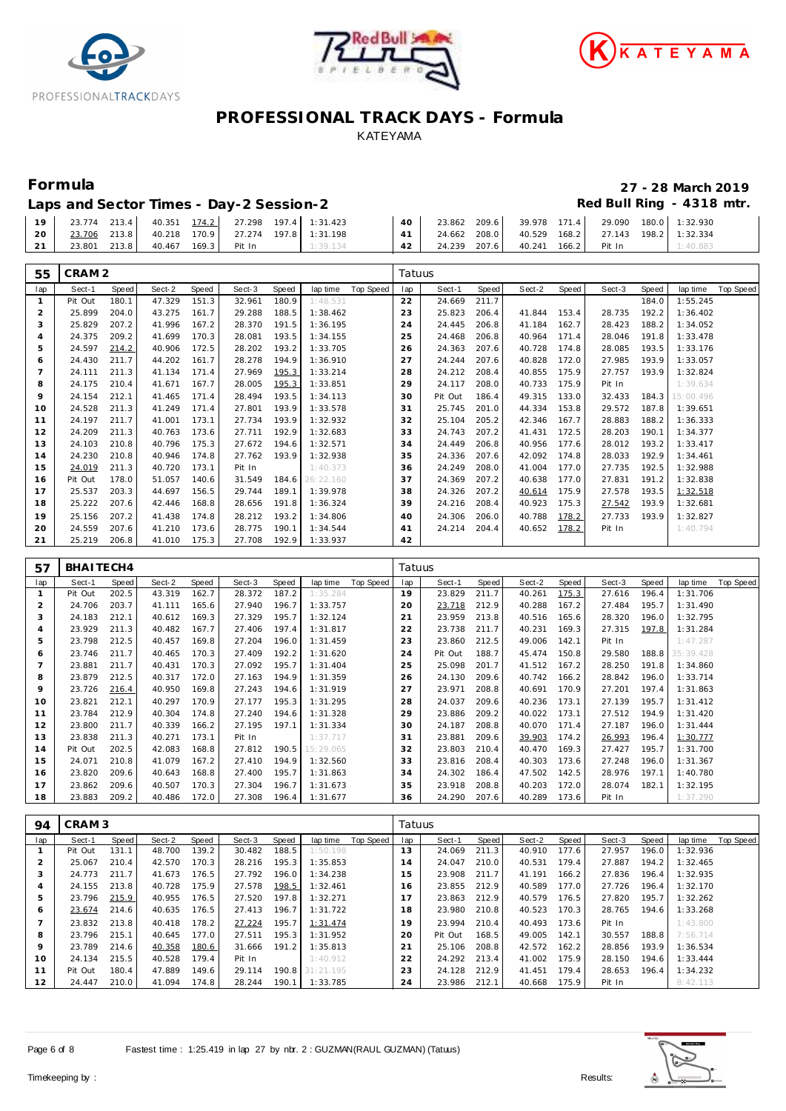





**Formula 27 - 28 March 2019**

| Laps and Sector Times - Day-2 Session-2 | Red Bull Ring - 4318 mtr. |
|-----------------------------------------|---------------------------|
|-----------------------------------------|---------------------------|

| 19 <sub>1</sub> | 23.774 213.4 |       |                     |  | 40.351 174.2 27.298 197.4 1:31.423 | $40-1$ |              |  | 23.862 209.6 39.978 171.4 29.090 180.0 1:32.930 |          |
|-----------------|--------------|-------|---------------------|--|------------------------------------|--------|--------------|--|-------------------------------------------------|----------|
| 20 l            | 23.706 213.8 |       |                     |  | 40.218 170.9 27.274 197.8 1:31.198 |        |              |  | 24.662 208.0 40.529 168.2 27.143 198.2 1:32.334 |          |
|                 | 23.801       | 213.8 | 40.467 169.3 Pit In |  | 1:39.134                           | 42     | 24.239 207.6 |  | 40.241 166.2 Pit In                             | 1:40.883 |

| 55             | CRAM <sub>2</sub> |       |        |       |        |       |           |                    | Tatuus |         |       |        |       |        |       |           |                  |
|----------------|-------------------|-------|--------|-------|--------|-------|-----------|--------------------|--------|---------|-------|--------|-------|--------|-------|-----------|------------------|
| lap            | Sect-1            | Speed | Sect-2 | Speed | Sect-3 | Speed |           | lap time Top Speed | lap    | Sect-1  | Speed | Sect-2 | Speed | Sect-3 | Speed | lap time  | Top Speed        |
| $\mathbf{1}$   | Pit Out           | 180.1 | 47.329 | 151.3 | 32.961 | 180.9 | 1:48.531  |                    | 22     | 24.669  | 211.7 |        |       |        | 184.0 | 1:55.245  |                  |
| $\overline{2}$ | 25.899            | 204.0 | 43.275 | 161.7 | 29.288 | 188.5 | 1:38.462  |                    | 23     | 25.823  | 206.4 | 41.844 | 153.4 | 28.735 | 192.2 | 1:36.402  |                  |
| 3              | 25.829            | 207.2 | 41.996 | 167.2 | 28.370 | 191.5 | 1:36.195  |                    | 24     | 24.445  | 206.8 | 41.184 | 162.7 | 28.423 | 188.2 | 1:34.052  |                  |
| $\overline{4}$ | 24.375            | 209.2 | 41.699 | 170.3 | 28.081 | 193.5 | 1:34.155  |                    | 25     | 24.468  | 206.8 | 40.964 | 171.4 | 28.046 | 191.8 | 1:33.478  |                  |
| 5              | 24.597            | 214.2 | 40.906 | 172.5 | 28.202 | 193.2 | 1:33.705  |                    | 26     | 24.363  | 207.6 | 40.728 | 174.8 | 28.085 | 193.5 | 1:33.176  |                  |
| 6              | 24.430            | 211.7 | 44.202 | 161.7 | 28.278 | 194.9 | 1:36.910  |                    | 27     | 24.244  | 207.6 | 40.828 | 172.0 | 27.985 | 193.9 | 1:33.057  |                  |
| $\overline{7}$ | 24.111            | 211.3 | 41.134 | 171.4 | 27.969 | 195.3 | 1:33.214  |                    | 28     | 24.212  | 208.4 | 40.855 | 175.9 | 27.757 | 193.9 | 1:32.824  |                  |
| 8              | 24.175            | 210.4 | 41.671 | 167.7 | 28.005 | 195.3 | 1:33.851  |                    | 29     | 24.117  | 208.0 | 40.733 | 175.9 | Pit In |       | 1:39.634  |                  |
| 9              | 24.154            | 212.1 | 41.465 | 171.4 | 28.494 | 193.5 | 1:34.113  |                    | 30     | Pit Out | 186.4 | 49.315 | 133.0 | 32.433 | 184.3 | 15:00.496 |                  |
| 10             | 24.528            | 211.3 | 41.249 | 171.4 | 27.801 | 193.9 | 1:33.578  |                    | 31     | 25.745  | 201.0 | 44.334 | 153.8 | 29.572 | 187.8 | 1:39.651  |                  |
| 11             | 24.197            | 211.7 | 41.001 | 173.1 | 27.734 | 193.9 | 1:32.932  |                    | 32     | 25.104  | 205.2 | 42.346 | 167.7 | 28.883 | 188.2 | 1:36.333  |                  |
| 12             | 24.209            | 211.3 | 40.763 | 173.6 | 27.711 | 192.9 | 1:32.683  |                    | 33     | 24.743  | 207.2 | 41.431 | 172.5 | 28.203 | 190.1 | 1:34.377  |                  |
| 13             | 24.103            | 210.8 | 40.796 | 175.3 | 27.672 | 194.6 | 1:32.571  |                    | 34     | 24.449  | 206.8 | 40.956 | 177.6 | 28.012 | 193.2 | 1:33.417  |                  |
| 14             | 24.230            | 210.8 | 40.946 | 174.8 | 27.762 | 193.9 | 1:32.938  |                    | 35     | 24.336  | 207.6 | 42.092 | 174.8 | 28.033 | 192.9 | 1:34.461  |                  |
| 15             | 24.019            | 211.3 | 40.720 | 173.1 | Pit In |       | 1:40.373  |                    | 36     | 24.249  | 208.0 | 41.004 | 177.0 | 27.735 | 192.5 | 1:32.988  |                  |
| 16             | Pit Out           | 178.0 | 51.057 | 140.6 | 31.549 | 184.6 | 26:22.160 |                    | 37     | 24.369  | 207.2 | 40.638 | 177.0 | 27.831 | 191.2 | 1:32.838  |                  |
| 17             | 25.537            | 203.3 | 44.697 | 156.5 | 29.744 | 189.1 | 1:39.978  |                    | 38     | 24.326  | 207.2 | 40.614 | 175.9 | 27.578 | 193.5 | 1:32.518  |                  |
| 18             | 25.222            | 207.6 | 42.446 | 168.8 | 28.656 | 191.8 | 1:36.324  |                    | 39     | 24.216  | 208.4 | 40.923 | 175.3 | 27.542 | 193.9 | 1:32.681  |                  |
| 19             | 25.156            | 207.2 | 41.438 | 174.8 | 28.212 | 193.2 | 1:34.806  |                    | 40     | 24.306  | 206.0 | 40.788 | 178.2 | 27.733 | 193.9 | 1:32.827  |                  |
| 20             | 24.559            | 207.6 | 41.210 | 173.6 | 28.775 | 190.1 | 1:34.544  |                    | 41     | 24.214  | 204.4 | 40.652 | 178.2 | Pit In |       | 1:40.794  |                  |
| 21             | 25.219            | 206.8 | 41.010 | 175.3 | 27.708 | 192.9 | 1:33.937  |                    | 42     |         |       |        |       |        |       |           |                  |
|                |                   |       |        |       |        |       |           |                    |        |         |       |        |       |        |       |           |                  |
| 57             | BHAITECH4         |       |        |       |        |       |           |                    | Tatuus |         |       |        |       |        |       |           |                  |
| lap            | Sect-1            | Speed | Sect-2 | Speed | Sect-3 | Speed | lap time  | Top Speed          | lap    | Sect-1  | Speed | Sect-2 | Speed | Sect-3 | Speed | lap time  | <b>Top Speed</b> |
| $\mathbf{1}$   | Pit Out           | 202.5 | 43.319 | 162.7 | 28.372 | 187.2 | 1:35.284  |                    | 19     | 23.829  | 211.7 | 40.261 | 175.3 | 27.616 | 196.4 | 1:31.706  |                  |
| $\sqrt{2}$     | 24.706            | 203.7 | 41.111 | 165.6 | 27.940 | 196.7 | 1:33.757  |                    | 20     | 23.718  | 212.9 | 40.288 | 167.2 | 27.484 | 195.7 | 1:31.490  |                  |
| 3              | 24.183            | 212.1 | 40.612 | 169.3 | 27.329 | 195.7 | 1:32.124  |                    | 21     | 23.959  | 213.8 | 40.516 | 165.6 | 28.320 | 196.0 | 1:32.795  |                  |
| $\overline{4}$ | 23.929            | 211.3 | 40.482 | 167.7 | 27.406 | 197.4 | 1:31.817  |                    | 22     | 23.738  | 211.7 | 40.231 | 169.3 | 27.315 | 197.8 | 1:31.284  |                  |
| 5              | 23.798            | 212.5 | 40.457 | 169.8 | 27.204 | 196.0 | 1:31.459  |                    | 23     | 23.860  | 212.5 | 49.006 | 142.1 | Pit In |       | 1:47.287  |                  |
| 6              | 23.746            | 211.7 | 40.465 | 170.3 | 27.409 | 192.2 | 1:31.620  |                    | 24     | Pit Out | 188.7 | 45.474 | 150.8 | 29.580 | 188.8 | 35:39.428 |                  |
| $\overline{7}$ | 23.881            | 211.7 | 40.431 | 170.3 | 27.092 | 195.7 | 1:31.404  |                    | 25     | 25.098  | 201.7 | 41.512 | 167.2 | 28.250 | 191.8 | 1:34.860  |                  |
| 8              | 23.879            | 212.5 | 40.317 | 172.0 | 27.163 | 194.9 | 1:31.359  |                    | 26     | 24.130  | 209.6 | 40.742 | 166.2 | 28.842 | 196.0 | 1:33.714  |                  |
| 9              | 23.726            | 216.4 | 40.950 | 169.8 | 27.243 | 194.6 | 1:31.919  |                    | 27     | 23.971  | 208.8 | 40.691 | 170.9 | 27.201 | 197.4 | 1:31.863  |                  |
| 10             | 23.821            | 212.1 | 40.297 | 170.9 | 27.177 | 195.3 | 1:31.295  |                    | 28     | 24.037  | 209.6 | 40.236 | 173.1 | 27.139 | 195.7 | 1:31.412  |                  |
| 11             | 23.784            | 212.9 | 40.304 | 174.8 | 27.240 | 194.6 | 1:31.328  |                    | 29     | 23.886  | 209.2 | 40.022 | 173.1 | 27.512 | 194.9 | 1:31.420  |                  |
| 12             | 23.800            | 211.7 | 40.339 | 166.2 | 27.195 | 197.1 | 1:31.334  |                    | 30     | 24.187  | 208.8 | 40.070 | 171.4 | 27.187 | 196.0 | 1:31.444  |                  |
| 13             | 23.838            | 211.3 | 40.271 | 173.1 | Pit In |       | 1:37.717  |                    | 31     | 23.881  | 209.6 | 39.903 | 174.2 | 26.993 | 196.4 | 1:30.777  |                  |
| 14             | Pit Out           | 202.5 | 42.083 | 168.8 | 27.812 | 190.5 | 15:29.065 |                    | 32     | 23.803  | 210.4 | 40.470 | 169.3 | 27.427 | 195.7 | 1:31.700  |                  |
| 15             | 24.071            | 210.8 | 41.079 | 167.2 | 27.410 | 194.9 | 1:32.560  |                    | 33     | 23.816  | 208.4 | 40.303 | 173.6 | 27.248 | 196.0 | 1:31.367  |                  |
| 16             | 23.820            | 209.6 | 40.643 | 168.8 | 27.400 | 195.7 | 1:31.863  |                    | 34     | 24.302  | 186.4 | 47.502 | 142.5 | 28.976 | 197.1 | 1:40.780  |                  |
| 17             | 23.862            | 209.6 | 40.507 | 170.3 | 27.304 | 196.7 | 1:31.673  |                    | 35     | 23.918  | 208.8 | 40.203 | 172.0 | 28.074 | 182.1 | 1:32.195  |                  |
| 18             | 23.883            | 209.2 | 40.486 | 172.0 | 27.308 | 196.4 | 1:31.677  |                    | 36     | 24.290  | 207.6 | 40.289 | 173.6 | Pit In |       | 1:37.290  |                  |

| 94                       | CRAM <sub>3</sub> |       |        |       |        |       |                 |           | Tatuus |         |       |        |       |        |       |          |           |
|--------------------------|-------------------|-------|--------|-------|--------|-------|-----------------|-----------|--------|---------|-------|--------|-------|--------|-------|----------|-----------|
| lap                      | Sect-1            | Speed | Sect-2 | Speed | Sect-3 | Speed | lap time        | Top Speed | lap    | Sect-1  | Speed | Sect-2 | Speed | Sect-3 | Speed | lap time | Top Speed |
|                          | Pit Out           | 131.1 | 48.700 | 139.2 | 30.482 | 188.5 | 1:50.198        |           | 13     | 24.069  | 211.3 | 40.910 | 177.6 | 27.957 | 196.0 | 1:32.936 |           |
|                          | 25.067            | 210.4 | 42.570 | 170.3 | 28.216 | 195.3 | 1:35.853        |           | 14     | 24.047  | 210.0 | 40.531 | 179.4 | 27.887 | 194.2 | 1:32.465 |           |
| 3                        | 24.773            | 211.7 | 41.673 | 176.5 | 27.792 | 196.0 | 1:34.238        |           | 15     | 23.908  | 211.7 | 41.191 | 166.2 | 27.836 | 196.4 | 1:32.935 |           |
| $\overline{4}$           | 24.155            | 213.8 | 40.728 | 175.9 | 27.578 | 198.5 | 1:32.461        |           | 16     | 23.855  | 212.9 | 40.589 | 177.0 | 27.726 | 196.4 | 1:32.170 |           |
| 5                        | 23.796            | 215.9 | 40.955 | 176.5 | 27.520 | 197.8 | 1:32.271        |           | 17     | 23.863  | 212.9 | 40.579 | 176.5 | 27.820 | 195.7 | 1:32.262 |           |
| 6                        | 23.674            | 214.6 | 40.635 | 176.5 | 27.413 | 196.7 | 1:31.722        |           | 18     | 23.980  | 210.8 | 40.523 | 170.3 | 28.765 | 194.6 | 1:33.268 |           |
| $\overline{\phantom{a}}$ | 23.832            | 213.8 | 40.418 | 178.2 | 27.224 | 195.7 | 1:31.474        |           | 19     | 23.994  | 210.4 | 40.493 | 173.6 | Pit In |       | 1:43.800 |           |
| 8                        | 23.796            | 215.1 | 40.645 | 177.0 | 27.511 | 195.3 | 1:31.952        |           | 20     | Pit Out | 168.5 | 49.005 | 142.1 | 30.557 | 188.8 | 7:56.714 |           |
| 9                        | 23.789            | 214.6 | 40.358 | 180.6 | 31.666 | 191.2 | 1:35.813        |           | 21     | 25.106  | 208.8 | 42.572 | 162.2 | 28.856 | 193.9 | 1:36.534 |           |
| 10                       | 24.134            | 215.5 | 40.528 | 179.4 | Pit In |       | 1:40.912        |           | 22     | 24.292  | 213.4 | 41.002 | 175.9 | 28.150 | 194.6 | 1:33.444 |           |
| 11                       | Pit Out           | 180.4 | 47.889 | 149.6 | 29.114 |       | 190.8 31:21.195 |           | 23     | 24.128  | 212.9 | 41.451 | 179.4 | 28.653 | 196.4 | 1:34.232 |           |
| 12                       | 24.447            | 210.0 | 41.094 | 174.8 | 28.244 | 190.1 | 1:33.785        |           | 24     | 23.986  | 212.1 | 40.668 | 175.9 | Pit In |       | 8:42.113 |           |

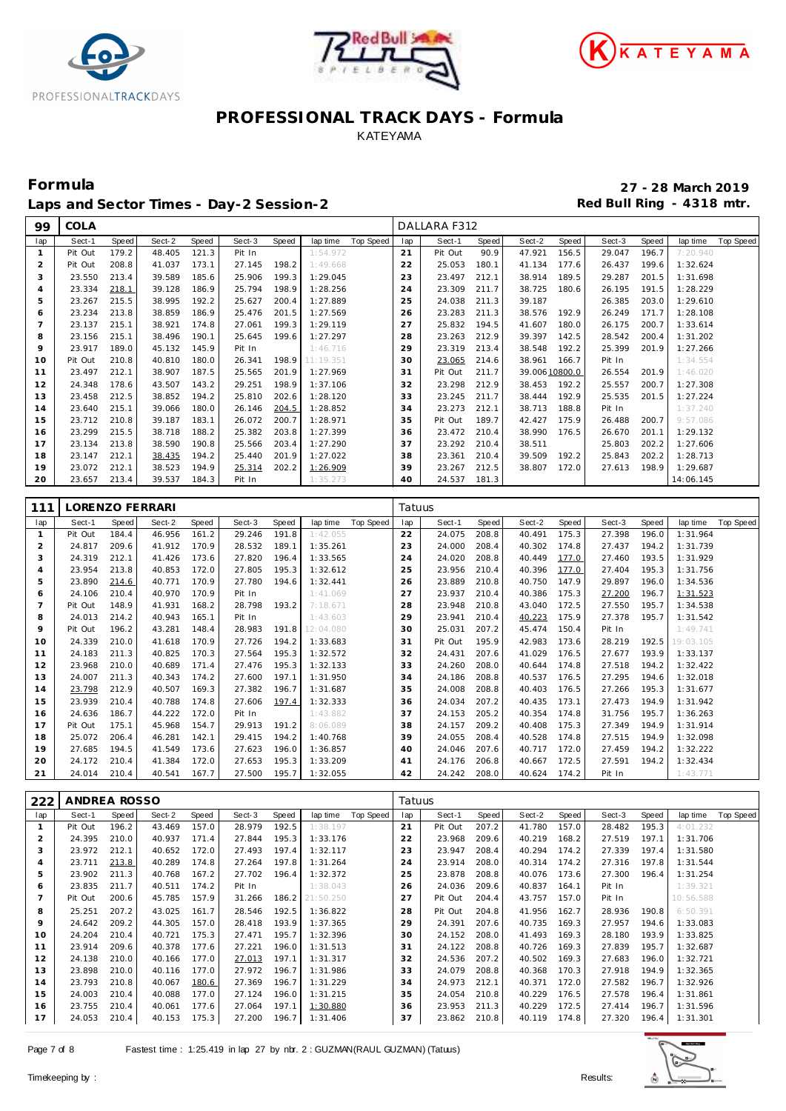





Laps and Sector Times - Day-2 Session-2 **Accord Payment Accord Payment Red Bull Ring - 4318 mtr.** 

COLA DALLARA F312

**Formula 27 - 28 March 2019**

| lap            | Sect-1          | Speed | Sect-2 | Speed | Sect-3 | Speed | lap time  | Top Speed        | lap    | Sect-1  | Speed | Sect-2         | Speed | Sect-3 | Speed | lap time  | Top Speed |
|----------------|-----------------|-------|--------|-------|--------|-------|-----------|------------------|--------|---------|-------|----------------|-------|--------|-------|-----------|-----------|
| 1              | Pit Out         | 179.2 | 48.405 | 121.3 | Pit In |       | 1:54.972  |                  | 21     | Pit Out | 90.9  | 47.921         | 156.5 | 29.047 | 196.7 | 7:20.940  |           |
| $\overline{2}$ | Pit Out         | 208.8 | 41.037 | 173.1 | 27.145 | 198.2 | 1:49.668  |                  | 22     | 25.053  | 180.1 | 41.134         | 177.6 | 26.437 | 199.6 | 1:32.624  |           |
| 3              | 23.550          | 213.4 | 39.589 | 185.6 | 25.906 | 199.3 | 1:29.045  |                  | 23     | 23.497  | 212.1 | 38.914         | 189.5 | 29.287 | 201.5 | 1:31.698  |           |
|                | 23.334          | 218.1 |        |       | 25.794 | 198.9 |           |                  | 24     |         | 211.7 |                |       |        | 191.5 | 1:28.229  |           |
| 4              |                 |       | 39.128 | 186.9 |        |       | 1:28.256  |                  |        | 23.309  |       | 38.725         | 180.6 | 26.195 |       |           |           |
| 5              | 23.267          | 215.5 | 38.995 | 192.2 | 25.627 | 200.4 | 1:27.889  |                  | 25     | 24.038  | 211.3 | 39.187         |       | 26.385 | 203.0 | 1:29.610  |           |
| 6              | 23.234          | 213.8 | 38.859 | 186.9 | 25.476 | 201.5 | 1:27.569  |                  | 26     | 23.283  | 211.3 | 38.576         | 192.9 | 26.249 | 171.7 | 1:28.108  |           |
| $\overline{7}$ | 23.137          | 215.1 | 38.921 | 174.8 | 27.061 | 199.3 | 1:29.119  |                  | 27     | 25.832  | 194.5 | 41.607         | 180.0 | 26.175 | 200.7 | 1:33.614  |           |
| 8              | 23.156          | 215.1 | 38.496 | 190.1 | 25.645 | 199.6 | 1:27.297  |                  | 28     | 23.263  | 212.9 | 39.397         | 142.5 | 28.542 | 200.4 | 1:31.202  |           |
| 9              | 23.917          | 189.0 | 45.132 | 145.9 | Pit In |       | 1:46.716  |                  | 29     | 23.319  | 213.4 | 38.548         | 192.2 | 25.399 | 201.9 | 1:27.266  |           |
| 10             | Pit Out         | 210.8 | 40.810 | 180.0 | 26.341 | 198.9 | 11:19.351 |                  | 30     | 23.065  | 214.6 | 38.961         | 166.7 | Pit In |       | 1:34.554  |           |
| 11             | 23.497          | 212.1 | 38.907 | 187.5 | 25.565 | 201.9 | 1:27.969  |                  | 31     | Pit Out | 211.7 | 39.006 10800.0 |       | 26.554 | 201.9 | 1:46.020  |           |
| 12             | 24.348          | 178.6 | 43.507 | 143.2 | 29.251 | 198.9 | 1:37.106  |                  | 32     | 23.298  | 212.9 | 38.453         | 192.2 | 25.557 | 200.7 | 1:27.308  |           |
| 13             | 23.458          | 212.5 | 38.852 | 194.2 | 25.810 | 202.6 | 1:28.120  |                  | 33     | 23.245  | 211.7 | 38.444         | 192.9 | 25.535 | 201.5 | 1:27.224  |           |
| 14             | 23.640          | 215.1 | 39.066 | 180.0 | 26.146 | 204.5 | 1:28.852  |                  | 34     | 23.273  | 212.1 | 38.713         | 188.8 | Pit In |       | 1:37.240  |           |
| 15             | 23.712          | 210.8 | 39.187 | 183.1 | 26.072 | 200.7 | 1:28.971  |                  | 35     | Pit Out | 189.7 | 42.427         | 175.9 | 26.488 | 200.7 | 9:57.086  |           |
|                | 23.299          | 215.5 |        |       |        | 203.8 |           |                  |        |         | 210.4 | 38.990         | 176.5 |        | 201.1 | 1:29.132  |           |
| 16             |                 |       | 38.718 | 188.2 | 25.382 |       | 1:27.399  |                  | 36     | 23.472  |       |                |       | 26.670 |       |           |           |
| 17             | 23.134          | 213.8 | 38.590 | 190.8 | 25.566 | 203.4 | 1:27.290  |                  | 37     | 23.292  | 210.4 | 38.511         |       | 25.803 | 202.2 | 1:27.606  |           |
| 18             | 23.147          | 212.1 | 38.435 | 194.2 | 25.440 | 201.9 | 1:27.022  |                  | 38     | 23.361  | 210.4 | 39.509         | 192.2 | 25.843 | 202.2 | 1:28.713  |           |
| 19             | 23.072          | 212.1 | 38.523 | 194.9 | 25.314 | 202.2 | 1:26.909  |                  | 39     | 23.267  | 212.5 | 38.807         | 172.0 | 27.613 | 198.9 | 1:29.687  |           |
| 20             | 23.657          | 213.4 | 39.537 | 184.3 | Pit In |       | 1:35.273  |                  | 40     | 24.537  | 181.3 |                |       |        |       | 14:06.145 |           |
|                |                 |       |        |       |        |       |           |                  |        |         |       |                |       |        |       |           |           |
| 111            | LORENZO FERRARI |       |        |       |        |       |           |                  | Tatuus |         |       |                |       |        |       |           |           |
| lap            | Sect-1          | Speed | Sect-2 | Speed | Sect-3 | Speed | lap time  | Top Speed        | lap    | Sect-1  | Speed | Sect-2         | Speed | Sect-3 | Speed | lap time  | Top Speed |
| 1              | Pit Out         | 184.4 | 46.956 | 161.2 | 29.246 | 191.8 | 1:42.055  |                  | 22     | 24.075  | 208.8 | 40.491         | 175.3 | 27.398 | 196.0 | 1:31.964  |           |
| $\overline{2}$ | 24.817          | 209.6 | 41.912 | 170.9 | 28.532 | 189.1 | 1:35.261  |                  | 23     | 24.000  | 208.4 | 40.302         | 174.8 | 27.437 | 194.2 | 1:31.739  |           |
| 3              | 24.319          | 212.1 | 41.426 | 173.6 | 27.820 | 196.4 | 1:33.565  |                  | 24     | 24.020  | 208.8 | 40.449         | 177.0 | 27.460 | 193.5 | 1:31.929  |           |
| 4              | 23.954          | 213.8 | 40.853 | 172.0 | 27.805 | 195.3 | 1:32.612  |                  | 25     | 23.956  | 210.4 | 40.396         | 177.0 | 27.404 | 195.3 | 1:31.756  |           |
|                |                 |       |        |       |        |       |           |                  |        |         |       |                |       |        |       |           |           |
| 5              | 23.890          | 214.6 | 40.771 | 170.9 | 27.780 | 194.6 | 1:32.441  |                  | 26     | 23.889  | 210.8 | 40.750         | 147.9 | 29.897 | 196.0 | 1:34.536  |           |
| 6              | 24.106          | 210.4 | 40.970 | 170.9 | Pit In |       | 1:41.069  |                  | 27     | 23.937  | 210.4 | 40.386         | 175.3 | 27.200 | 196.7 | 1:31.523  |           |
| $\overline{7}$ | Pit Out         | 148.9 | 41.931 | 168.2 | 28.798 | 193.2 | 7:18.671  |                  | 28     | 23.948  | 210.8 | 43.040         | 172.5 | 27.550 | 195.7 | 1:34.538  |           |
| 8              | 24.013          | 214.2 | 40.943 | 165.1 | Pit In |       | 1:43.603  |                  | 29     | 23.941  | 210.4 | 40.223         | 175.9 | 27.378 | 195.7 | 1:31.542  |           |
| 9              | Pit Out         | 196.2 | 43.281 | 148.4 | 28.983 | 191.8 | 12:04.080 |                  | 30     | 25.031  | 207.2 | 45.474         | 150.4 | Pit In |       | 1:49.741  |           |
| 10             | 24.339          | 210.0 | 41.618 | 170.9 | 27.726 | 194.2 | 1:33.683  |                  | 31     | Pit Out | 195.9 | 42.983         | 173.6 | 28.219 | 192.5 | 19:03.105 |           |
| 11             | 24.183          | 211.3 | 40.825 | 170.3 | 27.564 | 195.3 | 1:32.572  |                  | 32     | 24.431  | 207.6 | 41.029         | 176.5 | 27.677 | 193.9 | 1:33.137  |           |
| 12             | 23.968          | 210.0 | 40.689 | 171.4 | 27.476 | 195.3 | 1:32.133  |                  | 33     | 24.260  | 208.0 | 40.644         | 174.8 | 27.518 | 194.2 | 1:32.422  |           |
| 13             | 24.007          | 211.3 | 40.343 | 174.2 | 27.600 | 197.1 | 1:31.950  |                  | 34     | 24.186  | 208.8 | 40.537         | 176.5 | 27.295 | 194.6 | 1:32.018  |           |
| 14             | 23.798          | 212.9 | 40.507 | 169.3 | 27.382 | 196.7 | 1:31.687  |                  | 35     | 24.008  | 208.8 | 40.403         | 176.5 | 27.266 | 195.3 | 1:31.677  |           |
| 15             | 23.939          | 210.4 | 40.788 | 174.8 | 27.606 | 197.4 | 1:32.333  |                  | 36     | 24.034  | 207.2 | 40.435         | 173.1 | 27.473 | 194.9 | 1:31.942  |           |
| 16             | 24.636          | 186.7 | 44.222 | 172.0 | Pit In |       | 1:43.882  |                  | 37     | 24.153  | 205.2 | 40.354         | 174.8 | 31.756 | 195.7 | 1:36.263  |           |
| 17             | Pit Out         | 175.1 | 45.968 | 154.7 | 29.913 | 191.2 | 8:06.089  |                  | 38     | 24.157  | 209.2 | 40.408         | 175.3 | 27.349 | 194.9 | 1:31.914  |           |
| 18             | 25.072          | 206.4 | 46.281 | 142.1 | 29.415 | 194.2 | 1:40.768  |                  | 39     | 24.055  | 208.4 | 40.528         | 174.8 | 27.515 | 194.9 | 1:32.098  |           |
| 19             | 27.685          | 194.5 | 41.549 | 173.6 | 27.623 | 196.0 | 1:36.857  |                  | 40     | 24.046  | 207.6 | 40.717         | 172.0 | 27.459 | 194.2 | 1:32.222  |           |
| 20             | 24.172          | 210.4 | 41.384 | 172.0 | 27.653 | 195.3 | 1:33.209  |                  | 41     | 24.176  | 206.8 | 40.667         | 172.5 | 27.591 | 194.2 | 1:32.434  |           |
| 21             | 24.014          | 210.4 | 40.541 | 167.7 | 27.500 | 195.7 | 1:32.055  |                  | 42     | 24.242  | 208.0 | 40.624         | 174.2 | Pit In |       | 1:43.771  |           |
|                |                 |       |        |       |        |       |           |                  |        |         |       |                |       |        |       |           |           |
|                |                 |       |        |       |        |       |           |                  |        |         |       |                |       |        |       |           |           |
| 222            | ANDREA ROSSO    |       |        |       |        |       |           |                  | Tatuus |         |       |                |       |        |       |           |           |
| lap            | Sect-1          | Speed | Sect-2 | Speed | Sect-3 | Speed | lap time  | <b>Top Speed</b> | lap    | Sect-1  | Speed | Sect-2         | Speed | Sect-3 | Speed | lap time  | Top Speed |
| $\mathbf{1}$   | Pit Out         | 196.2 | 43.469 | 157.0 | 28.979 | 192.5 | 191       |                  | 21     | Pit Out | 207.2 | 41.780         | 157.0 | 28.482 | 195.3 | 4:01      |           |
| $\overline{c}$ | 24.395          | 210.0 | 40.937 | 171.4 | 27.844 | 195.3 | 1:33.176  |                  | 22     | 23.968  | 209.6 | 40.219         | 168.2 | 27.519 | 197.1 | 1:31.706  |           |
| 3              | 23.972          | 212.1 | 40.652 | 172.0 | 27.493 | 197.4 | 1:32.117  |                  | 23     | 23.947  | 208.4 | 40.294         | 174.2 | 27.339 | 197.4 | 1:31.580  |           |
| 4              | 23.711          | 213.8 | 40.289 | 174.8 | 27.264 | 197.8 | 1:31.264  |                  | 24     | 23.914  | 208.0 | 40.314         | 174.2 | 27.316 | 197.8 | 1:31.544  |           |
| 5              | 23.902          | 211.3 | 40.768 | 167.2 | 27.702 | 196.4 | 1:32.372  |                  | 25     | 23.878  | 208.8 | 40.076         | 173.6 | 27.300 | 196.4 | 1:31.254  |           |
| 6              | 23.835          | 211.7 | 40.511 | 174.2 | Pit In |       | 1:38.043  |                  | 26     | 24.036  | 209.6 | 40.837         | 164.1 | Pit In |       | 1:39.321  |           |
| 7              | Pit Out         | 200.6 | 45.785 | 157.9 | 31.266 | 186.2 | 21:50.250 |                  | 27     | Pit Out | 204.4 | 43.757         | 157.0 | Pit In |       | 10:56.588 |           |
| 8              | 25.251          | 207.2 | 43.025 | 161.7 | 28.546 | 192.5 | 1:36.822  |                  | 28     | Pit Out | 204.8 | 41.956         | 162.7 | 28.936 | 190.8 | 6:50.391  |           |
| 9              | 24.642          | 209.2 | 44.305 | 157.0 | 28.418 | 193.9 | 1:37.365  |                  | 29     | 24.391  | 207.6 | 40.735         | 169.3 | 27.957 | 194.6 | 1:33.083  |           |
| 10             | 24.204          | 210.4 | 40.721 | 175.3 | 27.471 | 195.7 | 1:32.396  |                  | 30     | 24.152  | 208.0 | 41.493         | 169.3 | 28.180 | 193.9 | 1:33.825  |           |
| 11             | 23.914          | 209.6 | 40.378 | 177.6 | 27.221 | 196.0 | 1:31.513  |                  | 31     | 24.122  | 208.8 | 40.726         | 169.3 | 27.839 | 195.7 | 1:32.687  |           |
| 12             | 24.138          | 210.0 | 40.166 | 177.0 | 27.013 | 197.1 | 1:31.317  |                  | 32     | 24.536  | 207.2 | 40.502         | 169.3 | 27.683 | 196.0 | 1:32.721  |           |
|                | 23.898          | 210.0 |        |       |        | 196.7 |           |                  |        |         | 208.8 | 40.368         | 170.3 | 27.918 | 194.9 |           |           |
| 13             |                 |       | 40.116 | 177.0 | 27.972 |       | 1:31.986  |                  | 33     | 24.079  |       |                |       |        |       | 1:32.365  |           |
| 14             | 23.793          | 210.8 | 40.067 | 180.6 | 27.369 | 196.7 | 1:31.229  |                  | 34     | 24.973  | 212.1 | 40.371         | 172.0 | 27.582 | 196.7 | 1:32.926  |           |
| 15             | 24.003          | 210.4 | 40.088 | 177.0 | 27.124 | 196.0 | 1:31.215  |                  | 35     | 24.054  | 210.8 | 40.229         | 176.5 | 27.578 | 196.4 | 1:31.861  |           |
| 16             | 23.755          | 210.4 | 40.061 | 177.6 | 27.064 | 197.1 | 1:30.880  |                  | 36     | 23.953  | 211.3 | 40.229         | 172.5 | 27.414 | 196.7 | 1:31.596  |           |
| 17             | 24.053          | 210.4 | 40.153 | 175.3 | 27.200 | 196.7 | 1:31.406  |                  | 37     | 23.862  | 210.8 | 40.119 174.8   |       | 27.320 | 196.4 | 1:31.301  |           |